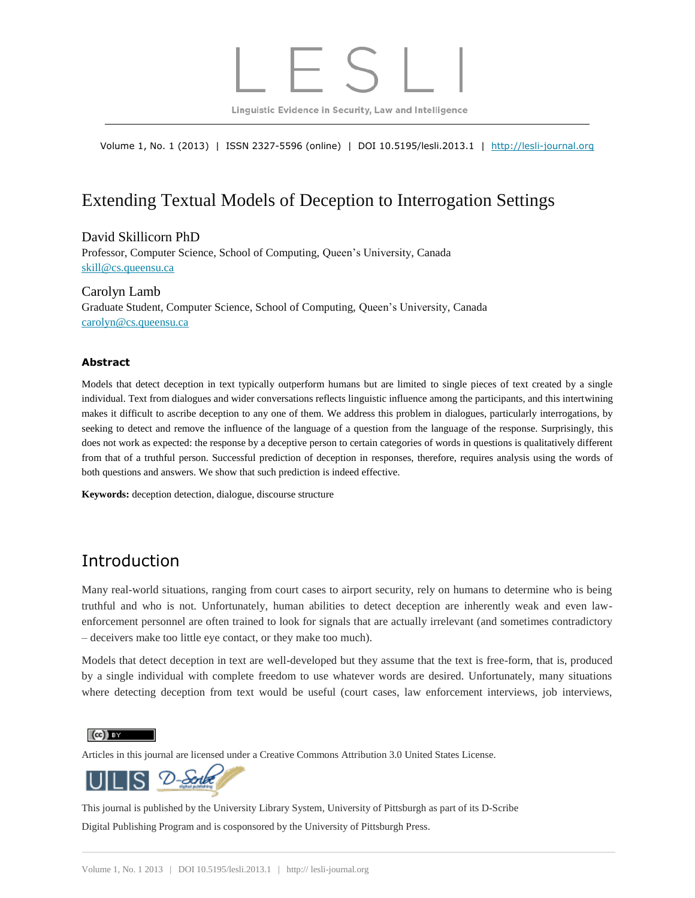Linguistic Evidence in Security, Law and Intelligence

Volume 1, No. 1 (2013) | ISSN 2327-5596 (online) | DOI 10.5195/lesli.2013.1 | [http://lesli-journal.org](http://lesli-journal.org/)

# Extending Textual Models of Deception to Interrogation Settings

#### David Skillicorn PhD

Professor, Computer Science, School of Computing, Queen's University, Canada [skill@cs.queensu.ca](mailto:skill@cs.queensu.ca)

Carolyn Lamb Graduate Student, Computer Science, School of Computing, Queen's University, Canada [carolyn@cs.queensu.ca](mailto:carolyn@cs.queensu.ca)

#### **Abstract**

Models that detect deception in text typically outperform humans but are limited to single pieces of text created by a single individual. Text from dialogues and wider conversations reflects linguistic influence among the participants, and this intertwining makes it difficult to ascribe deception to any one of them. We address this problem in dialogues, particularly interrogations, by seeking to detect and remove the influence of the language of a question from the language of the response. Surprisingly, this does not work as expected: the response by a deceptive person to certain categories of words in questions is qualitatively different from that of a truthful person. Successful prediction of deception in responses, therefore, requires analysis using the words of both questions and answers. We show that such prediction is indeed effective.

**Keywords:** deception detection, dialogue, discourse structure

# Introduction

Many real-world situations, ranging from court cases to airport security, rely on humans to determine who is being truthful and who is not. Unfortunately, human abilities to detect deception are inherently weak and even lawenforcement personnel are often trained to look for signals that are actually irrelevant (and sometimes contradictory – deceivers make too little eye contact, or they make too much).

Models that detect deception in text are well-developed but they assume that the text is free-form, that is, produced by a single individual with complete freedom to use whatever words are desired. Unfortunately, many situations where detecting deception from text would be useful (court cases, law enforcement interviews, job interviews,

 $\left(\mathrm{cc}\right)$  BY

Articles in this journal are licensed under a Creative Commons Attribution 3.0 United States License.



This journal is published by the [University Library System,](http://www.library.pitt.edu/) [University of Pittsburgh](http://www.pitt.edu/) as part of it[s D-Scribe](http://www.library.pitt.edu/dscribe/) [Digital Publishing Program](http://www.library.pitt.edu/dscribe/) and is cosponsored by th[e University of Pittsburgh Press.](http://www.upress.pitt.edu/upressIndex.aspx)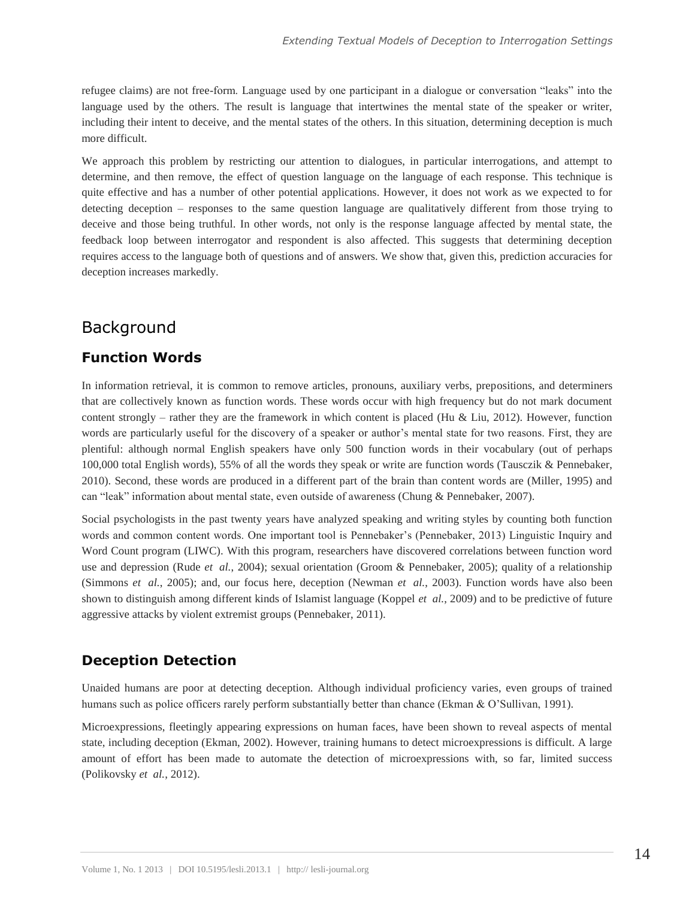refugee claims) are not free-form. Language used by one participant in a dialogue or conversation "leaks" into the language used by the others. The result is language that intertwines the mental state of the speaker or writer, including their intent to deceive, and the mental states of the others. In this situation, determining deception is much more difficult.

We approach this problem by restricting our attention to dialogues, in particular interrogations, and attempt to determine, and then remove, the effect of question language on the language of each response. This technique is quite effective and has a number of other potential applications. However, it does not work as we expected to for detecting deception – responses to the same question language are qualitatively different from those trying to deceive and those being truthful. In other words, not only is the response language affected by mental state, the feedback loop between interrogator and respondent is also affected. This suggests that determining deception requires access to the language both of questions and of answers. We show that, given this, prediction accuracies for deception increases markedly.

# Background

### **Function Words**

In information retrieval, it is common to remove articles, pronouns, auxiliary verbs, prepositions, and determiners that are collectively known as function words. These words occur with high frequency but do not mark document content strongly – rather they are the framework in which content is placed (Hu & Liu, 2012). However, function words are particularly useful for the discovery of a speaker or author's mental state for two reasons. First, they are plentiful: although normal English speakers have only 500 function words in their vocabulary (out of perhaps 100,000 total English words), 55% of all the words they speak or write are function words (Tausczik & Pennebaker, 2010). Second, these words are produced in a different part of the brain than content words are (Miller, 1995) and can "leak" information about mental state, even outside of awareness (Chung & Pennebaker, 2007).

Social psychologists in the past twenty years have analyzed speaking and writing styles by counting both function words and common content words. One important tool is Pennebaker's (Pennebaker, 2013) Linguistic Inquiry and Word Count program (LIWC). With this program, researchers have discovered correlations between function word use and depression (Rude *et al.*, 2004); sexual orientation (Groom & Pennebaker, 2005); quality of a relationship (Simmons *et al.*, 2005); and, our focus here, deception (Newman *et al.*, 2003). Function words have also been shown to distinguish among different kinds of Islamist language (Koppel *et al.*, 2009) and to be predictive of future aggressive attacks by violent extremist groups (Pennebaker, 2011).

## **Deception Detection**

Unaided humans are poor at detecting deception. Although individual proficiency varies, even groups of trained humans such as police officers rarely perform substantially better than chance (Ekman & O'Sullivan, 1991).

Microexpressions, fleetingly appearing expressions on human faces, have been shown to reveal aspects of mental state, including deception (Ekman, 2002). However, training humans to detect microexpressions is difficult. A large amount of effort has been made to automate the detection of microexpressions with, so far, limited success (Polikovsky *et al.*, 2012).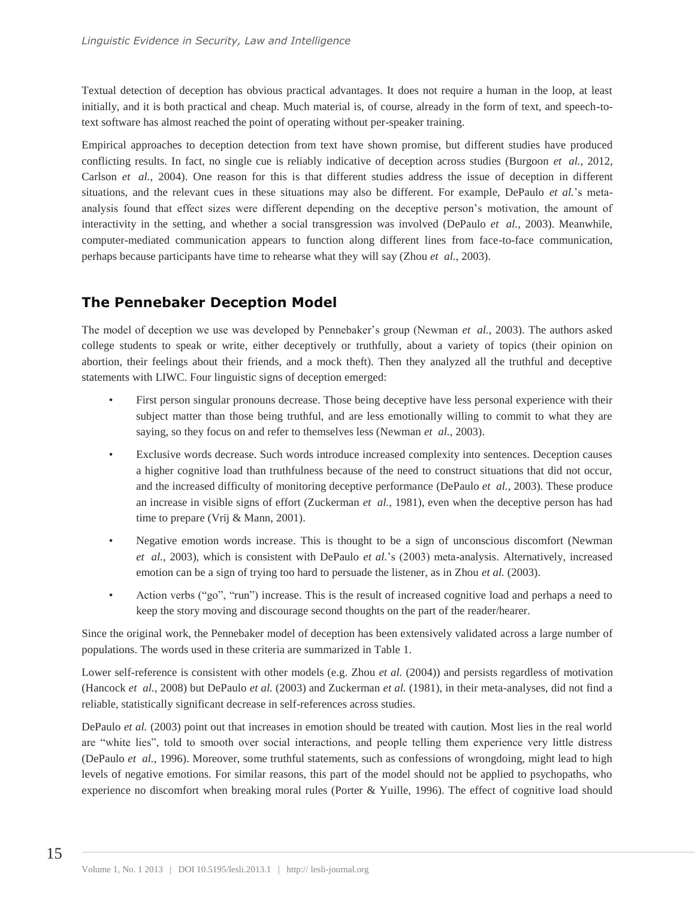Textual detection of deception has obvious practical advantages. It does not require a human in the loop, at least initially, and it is both practical and cheap. Much material is, of course, already in the form of text, and speech-totext software has almost reached the point of operating without per-speaker training.

Empirical approaches to deception detection from text have shown promise, but different studies have produced conflicting results. In fact, no single cue is reliably indicative of deception across studies (Burgoon *et al.*, 2012, Carlson *et al.*, 2004). One reason for this is that different studies address the issue of deception in different situations, and the relevant cues in these situations may also be different. For example, DePaulo *et al.*'s metaanalysis found that effect sizes were different depending on the deceptive person's motivation, the amount of interactivity in the setting, and whether a social transgression was involved (DePaulo *et al.*, 2003). Meanwhile, computer-mediated communication appears to function along different lines from face-to-face communication, perhaps because participants have time to rehearse what they will say (Zhou *et al.*, 2003).

## **The Pennebaker Deception Model**

The model of deception we use was developed by Pennebaker's group (Newman *et al.*, 2003). The authors asked college students to speak or write, either deceptively or truthfully, about a variety of topics (their opinion on abortion, their feelings about their friends, and a mock theft). Then they analyzed all the truthful and deceptive statements with LIWC. Four linguistic signs of deception emerged:

- First person singular pronouns decrease. Those being deceptive have less personal experience with their subject matter than those being truthful, and are less emotionally willing to commit to what they are saying, so they focus on and refer to themselves less (Newman *et al.*, 2003).
- Exclusive words decrease. Such words introduce increased complexity into sentences. Deception causes a higher cognitive load than truthfulness because of the need to construct situations that did not occur, and the increased difficulty of monitoring deceptive performance (DePaulo *et al.*, 2003). These produce an increase in visible signs of effort (Zuckerman *et al.*, 1981), even when the deceptive person has had time to prepare (Vrij & Mann, 2001).
- Negative emotion words increase. This is thought to be a sign of unconscious discomfort (Newman *et al.*, 2003), which is consistent with DePaulo *et al.*'s (2003) meta-analysis. Alternatively, increased emotion can be a sign of trying too hard to persuade the listener, as in Zhou *et al.* (2003).
- Action verbs ("go", "run") increase. This is the result of increased cognitive load and perhaps a need to keep the story moving and discourage second thoughts on the part of the reader/hearer.

Since the original work, the Pennebaker model of deception has been extensively validated across a large number of populations. The words used in these criteria are summarized in Table 1.

Lower self-reference is consistent with other models (e.g. Zhou *et al.* (2004)) and persists regardless of motivation (Hancock *et al.*, 2008) but DePaulo *et al.* (2003) and Zuckerman *et al.* (1981), in their meta-analyses, did not find a reliable, statistically significant decrease in self-references across studies.

DePaulo *et al.* (2003) point out that increases in emotion should be treated with caution. Most lies in the real world are "white lies", told to smooth over social interactions, and people telling them experience very little distress (DePaulo *et al.*, 1996). Moreover, some truthful statements, such as confessions of wrongdoing, might lead to high levels of negative emotions. For similar reasons, this part of the model should not be applied to psychopaths, who experience no discomfort when breaking moral rules (Porter & Yuille, 1996). The effect of cognitive load should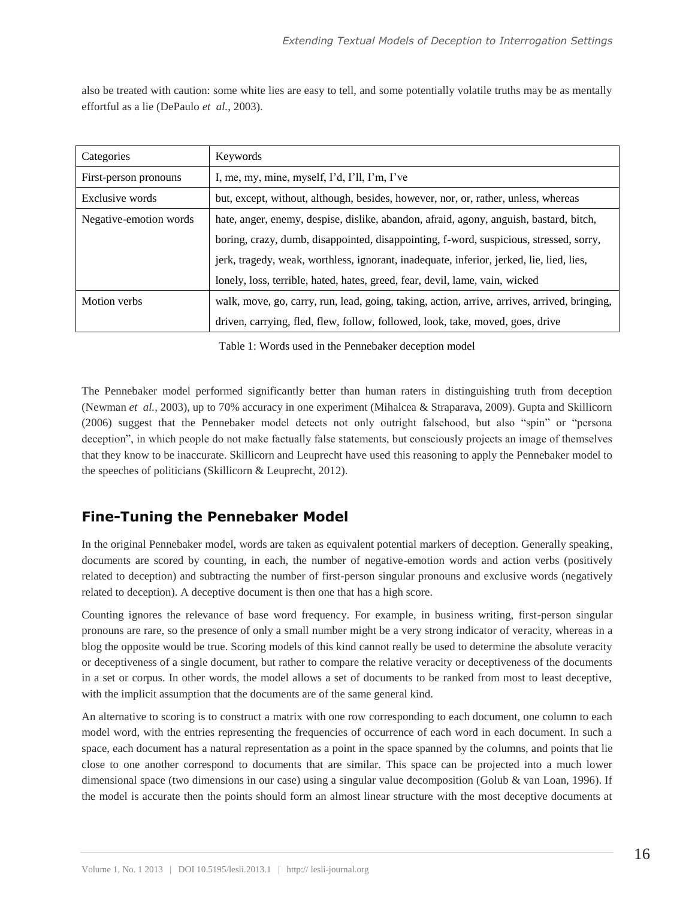also be treated with caution: some white lies are easy to tell, and some potentially volatile truths may be as mentally effortful as a lie (DePaulo *et al.*, 2003).

| Categories             | Keywords                                                                                     |  |  |  |
|------------------------|----------------------------------------------------------------------------------------------|--|--|--|
| First-person pronouns  | I, me, my, mine, myself, I'd, I'll, I'm, I've                                                |  |  |  |
| Exclusive words        | but, except, without, although, besides, however, nor, or, rather, unless, whereas           |  |  |  |
| Negative-emotion words | hate, anger, enemy, despise, dislike, abandon, afraid, agony, anguish, bastard, bitch,       |  |  |  |
|                        | boring, crazy, dumb, disappointed, disappointing, f-word, suspicious, stressed, sorry,       |  |  |  |
|                        | jerk, tragedy, weak, worthless, ignorant, inadequate, inferior, jerked, lie, lied, lies,     |  |  |  |
|                        | lonely, loss, terrible, hated, hates, greed, fear, devil, lame, vain, wicked                 |  |  |  |
| Motion verbs           | walk, move, go, carry, run, lead, going, taking, action, arrive, arrives, arrived, bringing, |  |  |  |
|                        | driven, carrying, fled, flew, follow, followed, look, take, moved, goes, drive               |  |  |  |

Table 1: Words used in the Pennebaker deception model

The Pennebaker model performed significantly better than human raters in distinguishing truth from deception (Newman *et al.*, 2003), up to 70% accuracy in one experiment (Mihalcea & Straparava, 2009). Gupta and Skillicorn (2006) suggest that the Pennebaker model detects not only outright falsehood, but also "spin" or "persona deception", in which people do not make factually false statements, but consciously projects an image of themselves that they know to be inaccurate. Skillicorn and Leuprecht have used this reasoning to apply the Pennebaker model to the speeches of politicians (Skillicorn & Leuprecht, 2012).

## **Fine-Tuning the Pennebaker Model**

In the original Pennebaker model, words are taken as equivalent potential markers of deception. Generally speaking, documents are scored by counting, in each, the number of negative-emotion words and action verbs (positively related to deception) and subtracting the number of first-person singular pronouns and exclusive words (negatively related to deception). A deceptive document is then one that has a high score.

Counting ignores the relevance of base word frequency. For example, in business writing, first-person singular pronouns are rare, so the presence of only a small number might be a very strong indicator of veracity, whereas in a blog the opposite would be true. Scoring models of this kind cannot really be used to determine the absolute veracity or deceptiveness of a single document, but rather to compare the relative veracity or deceptiveness of the documents in a set or corpus. In other words, the model allows a set of documents to be ranked from most to least deceptive, with the implicit assumption that the documents are of the same general kind.

An alternative to scoring is to construct a matrix with one row corresponding to each document, one column to each model word, with the entries representing the frequencies of occurrence of each word in each document. In such a space, each document has a natural representation as a point in the space spanned by the columns, and points that lie close to one another correspond to documents that are similar. This space can be projected into a much lower dimensional space (two dimensions in our case) using a singular value decomposition (Golub & van Loan, 1996). If the model is accurate then the points should form an almost linear structure with the most deceptive documents at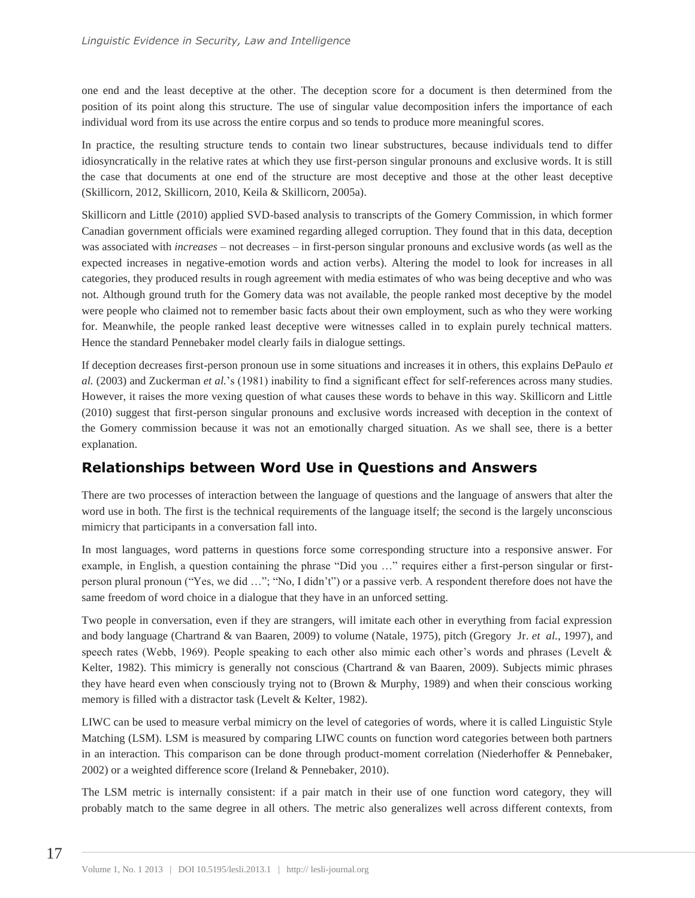one end and the least deceptive at the other. The deception score for a document is then determined from the position of its point along this structure. The use of singular value decomposition infers the importance of each individual word from its use across the entire corpus and so tends to produce more meaningful scores.

In practice, the resulting structure tends to contain two linear substructures, because individuals tend to differ idiosyncratically in the relative rates at which they use first-person singular pronouns and exclusive words. It is still the case that documents at one end of the structure are most deceptive and those at the other least deceptive (Skillicorn, 2012, Skillicorn, 2010, Keila & Skillicorn, 2005a).

Skillicorn and Little (2010) applied SVD-based analysis to transcripts of the Gomery Commission, in which former Canadian government officials were examined regarding alleged corruption. They found that in this data, deception was associated with *increases* – not decreases – in first-person singular pronouns and exclusive words (as well as the expected increases in negative-emotion words and action verbs). Altering the model to look for increases in all categories, they produced results in rough agreement with media estimates of who was being deceptive and who was not. Although ground truth for the Gomery data was not available, the people ranked most deceptive by the model were people who claimed not to remember basic facts about their own employment, such as who they were working for. Meanwhile, the people ranked least deceptive were witnesses called in to explain purely technical matters. Hence the standard Pennebaker model clearly fails in dialogue settings.

If deception decreases first-person pronoun use in some situations and increases it in others, this explains DePaulo *et al.* (2003) and Zuckerman *et al.*'s (1981) inability to find a significant effect for self-references across many studies. However, it raises the more vexing question of what causes these words to behave in this way. Skillicorn and Little (2010) suggest that first-person singular pronouns and exclusive words increased with deception in the context of the Gomery commission because it was not an emotionally charged situation. As we shall see, there is a better explanation.

## **Relationships between Word Use in Questions and Answers**

There are two processes of interaction between the language of questions and the language of answers that alter the word use in both. The first is the technical requirements of the language itself; the second is the largely unconscious mimicry that participants in a conversation fall into.

In most languages, word patterns in questions force some corresponding structure into a responsive answer. For example, in English, a question containing the phrase "Did you …" requires either a first-person singular or firstperson plural pronoun ("Yes, we did …"; "No, I didn't") or a passive verb. A respondent therefore does not have the same freedom of word choice in a dialogue that they have in an unforced setting.

Two people in conversation, even if they are strangers, will imitate each other in everything from facial expression and body language (Chartrand & van Baaren, 2009) to volume (Natale, 1975), pitch (Gregory Jr. *et al.*, 1997), and speech rates (Webb, 1969). People speaking to each other also mimic each other's words and phrases (Levelt & Kelter, 1982). This mimicry is generally not conscious (Chartrand & van Baaren, 2009). Subjects mimic phrases they have heard even when consciously trying not to (Brown & Murphy, 1989) and when their conscious working memory is filled with a distractor task (Levelt & Kelter, 1982).

LIWC can be used to measure verbal mimicry on the level of categories of words, where it is called Linguistic Style Matching (LSM). LSM is measured by comparing LIWC counts on function word categories between both partners in an interaction. This comparison can be done through product-moment correlation (Niederhoffer & Pennebaker, 2002) or a weighted difference score (Ireland & Pennebaker, 2010).

The LSM metric is internally consistent: if a pair match in their use of one function word category, they will probably match to the same degree in all others. The metric also generalizes well across different contexts, from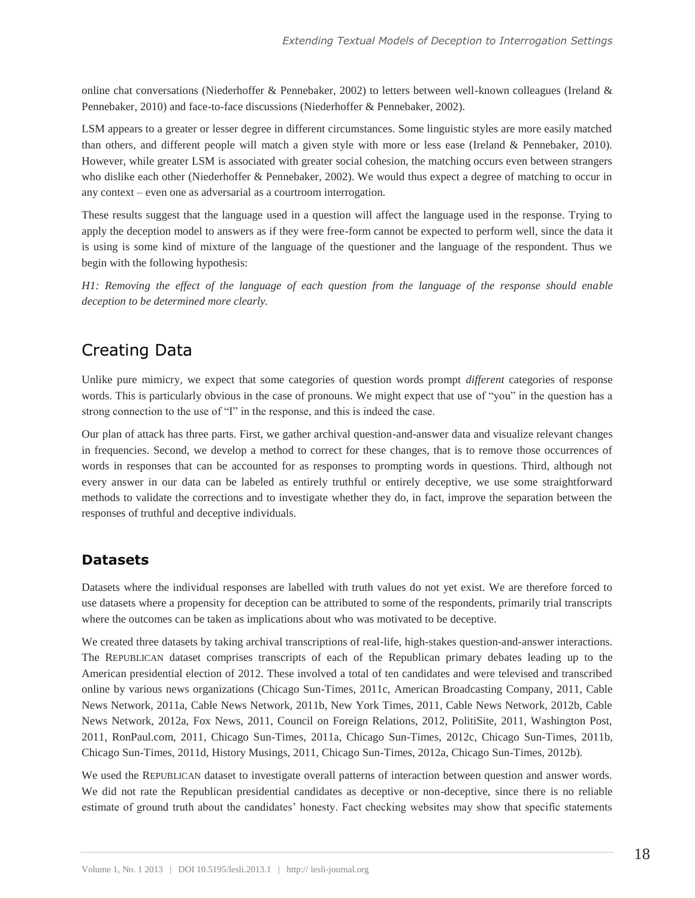online chat conversations (Niederhoffer & Pennebaker, 2002) to letters between well-known colleagues (Ireland & Pennebaker, 2010) and face-to-face discussions (Niederhoffer & Pennebaker, 2002).

LSM appears to a greater or lesser degree in different circumstances. Some linguistic styles are more easily matched than others, and different people will match a given style with more or less ease (Ireland & Pennebaker, 2010). However, while greater LSM is associated with greater social cohesion, the matching occurs even between strangers who dislike each other (Niederhoffer & Pennebaker, 2002). We would thus expect a degree of matching to occur in any context – even one as adversarial as a courtroom interrogation.

These results suggest that the language used in a question will affect the language used in the response. Trying to apply the deception model to answers as if they were free-form cannot be expected to perform well, since the data it is using is some kind of mixture of the language of the questioner and the language of the respondent. Thus we begin with the following hypothesis:

*H1: Removing the effect of the language of each question from the language of the response should enable deception to be determined more clearly.*

# Creating Data

Unlike pure mimicry, we expect that some categories of question words prompt *different* categories of response words. This is particularly obvious in the case of pronouns. We might expect that use of "you" in the question has a strong connection to the use of "I" in the response, and this is indeed the case.

Our plan of attack has three parts. First, we gather archival question-and-answer data and visualize relevant changes in frequencies. Second, we develop a method to correct for these changes, that is to remove those occurrences of words in responses that can be accounted for as responses to prompting words in questions. Third, although not every answer in our data can be labeled as entirely truthful or entirely deceptive, we use some straightforward methods to validate the corrections and to investigate whether they do, in fact, improve the separation between the responses of truthful and deceptive individuals.

### **Datasets**

Datasets where the individual responses are labelled with truth values do not yet exist. We are therefore forced to use datasets where a propensity for deception can be attributed to some of the respondents, primarily trial transcripts where the outcomes can be taken as implications about who was motivated to be deceptive.

We created three datasets by taking archival transcriptions of real-life, high-stakes question-and-answer interactions. The REPUBLICAN dataset comprises transcripts of each of the Republican primary debates leading up to the American presidential election of 2012. These involved a total of ten candidates and were televised and transcribed online by various news organizations (Chicago Sun-Times, 2011c, American Broadcasting Company, 2011, Cable News Network, 2011a, Cable News Network, 2011b, New York Times, 2011, Cable News Network, 2012b, Cable News Network, 2012a, Fox News, 2011, Council on Foreign Relations, 2012, PolitiSite, 2011, Washington Post, 2011, RonPaul.com, 2011, Chicago Sun-Times, 2011a, Chicago Sun-Times, 2012c, Chicago Sun-Times, 2011b, Chicago Sun-Times, 2011d, History Musings, 2011, Chicago Sun-Times, 2012a, Chicago Sun-Times, 2012b).

We used the REPUBLICAN dataset to investigate overall patterns of interaction between question and answer words. We did not rate the Republican presidential candidates as deceptive or non-deceptive, since there is no reliable estimate of ground truth about the candidates' honesty. Fact checking websites may show that specific statements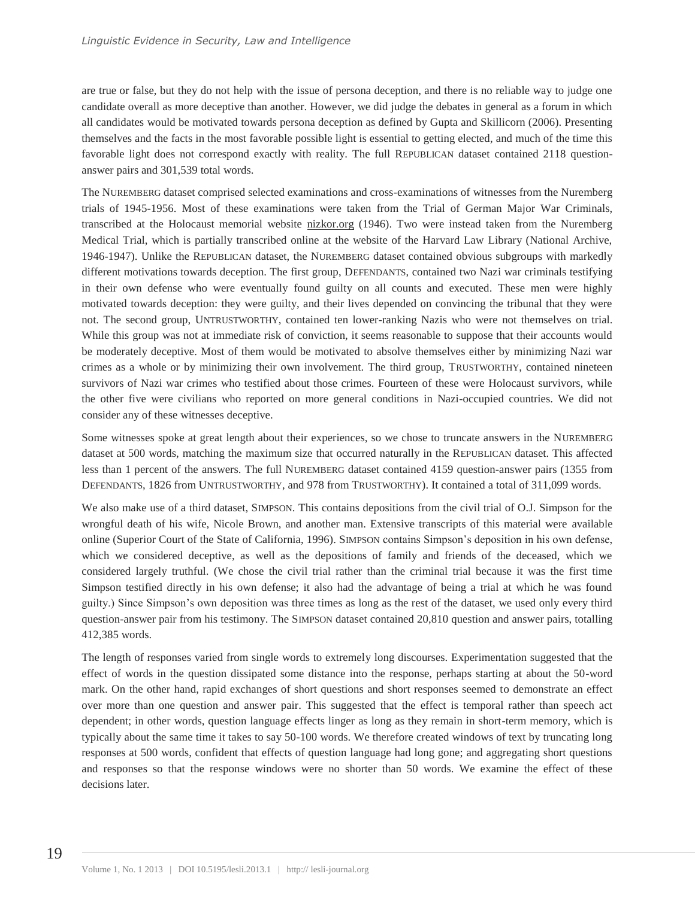are true or false, but they do not help with the issue of persona deception, and there is no reliable way to judge one candidate overall as more deceptive than another. However, we did judge the debates in general as a forum in which all candidates would be motivated towards persona deception as defined by Gupta and Skillicorn (2006). Presenting themselves and the facts in the most favorable possible light is essential to getting elected, and much of the time this favorable light does not correspond exactly with reality. The full REPUBLICAN dataset contained 2118 questionanswer pairs and 301,539 total words.

The NUREMBERG dataset comprised selected examinations and cross-examinations of witnesses from the Nuremberg trials of 1945-1956. Most of these examinations were taken from the Trial of German Major War Criminals, transcribed at the Holocaust memorial website nizkor.org (1946). Two were instead taken from the Nuremberg Medical Trial, which is partially transcribed online at the website of the Harvard Law Library (National Archive, 1946-1947). Unlike the REPUBLICAN dataset, the NUREMBERG dataset contained obvious subgroups with markedly different motivations towards deception. The first group, DEFENDANTS, contained two Nazi war criminals testifying in their own defense who were eventually found guilty on all counts and executed. These men were highly motivated towards deception: they were guilty, and their lives depended on convincing the tribunal that they were not. The second group, UNTRUSTWORTHY, contained ten lower-ranking Nazis who were not themselves on trial. While this group was not at immediate risk of conviction, it seems reasonable to suppose that their accounts would be moderately deceptive. Most of them would be motivated to absolve themselves either by minimizing Nazi war crimes as a whole or by minimizing their own involvement. The third group, TRUSTWORTHY, contained nineteen survivors of Nazi war crimes who testified about those crimes. Fourteen of these were Holocaust survivors, while the other five were civilians who reported on more general conditions in Nazi-occupied countries. We did not consider any of these witnesses deceptive.

Some witnesses spoke at great length about their experiences, so we chose to truncate answers in the NUREMBERG dataset at 500 words, matching the maximum size that occurred naturally in the REPUBLICAN dataset. This affected less than 1 percent of the answers. The full NUREMBERG dataset contained 4159 question-answer pairs (1355 from DEFENDANTS, 1826 from UNTRUSTWORTHY, and 978 from TRUSTWORTHY). It contained a total of 311,099 words.

We also make use of a third dataset, SIMPSON. This contains depositions from the civil trial of O.J. Simpson for the wrongful death of his wife, Nicole Brown, and another man. Extensive transcripts of this material were available online (Superior Court of the State of California, 1996). SIMPSON contains Simpson's deposition in his own defense, which we considered deceptive, as well as the depositions of family and friends of the deceased, which we considered largely truthful. (We chose the civil trial rather than the criminal trial because it was the first time Simpson testified directly in his own defense; it also had the advantage of being a trial at which he was found guilty.) Since Simpson's own deposition was three times as long as the rest of the dataset, we used only every third question-answer pair from his testimony. The SIMPSON dataset contained 20,810 question and answer pairs, totalling 412,385 words.

The length of responses varied from single words to extremely long discourses. Experimentation suggested that the effect of words in the question dissipated some distance into the response, perhaps starting at about the 50-word mark. On the other hand, rapid exchanges of short questions and short responses seemed to demonstrate an effect over more than one question and answer pair. This suggested that the effect is temporal rather than speech act dependent; in other words, question language effects linger as long as they remain in short-term memory, which is typically about the same time it takes to say 50-100 words. We therefore created windows of text by truncating long responses at 500 words, confident that effects of question language had long gone; and aggregating short questions and responses so that the response windows were no shorter than 50 words. We examine the effect of these decisions later.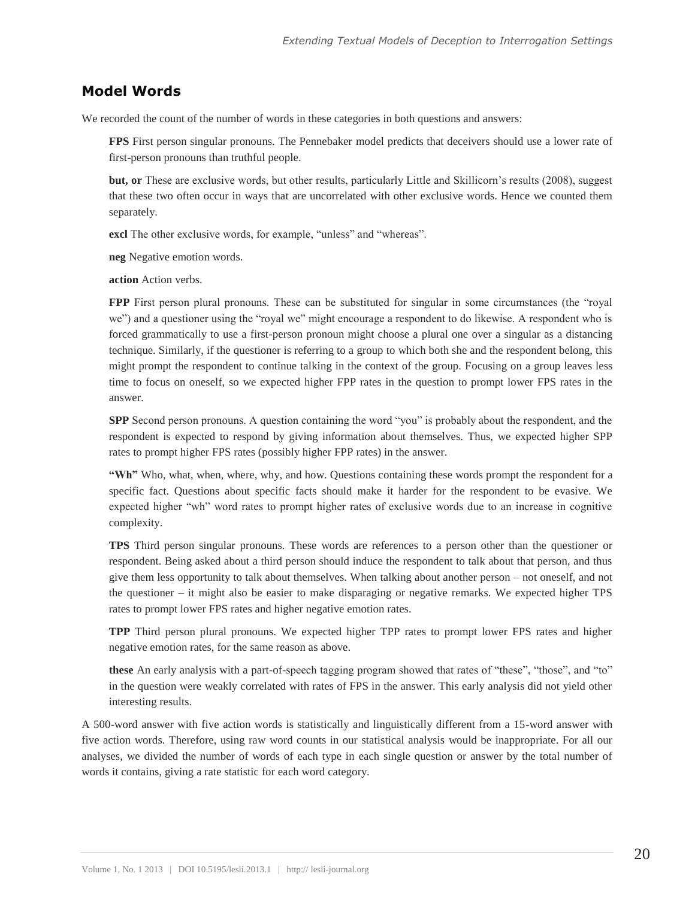#### **Model Words**

We recorded the count of the number of words in these categories in both questions and answers:

**FPS** First person singular pronouns. The Pennebaker model predicts that deceivers should use a lower rate of first-person pronouns than truthful people.

**but, or** These are exclusive words, but other results, particularly Little and Skillicorn's results (2008), suggest that these two often occur in ways that are uncorrelated with other exclusive words. Hence we counted them separately.

**excl** The other exclusive words, for example, "unless" and "whereas".

**neg** Negative emotion words.

**action** Action verbs.

**FPP** First person plural pronouns. These can be substituted for singular in some circumstances (the "royal" we") and a questioner using the "royal we" might encourage a respondent to do likewise. A respondent who is forced grammatically to use a first-person pronoun might choose a plural one over a singular as a distancing technique. Similarly, if the questioner is referring to a group to which both she and the respondent belong, this might prompt the respondent to continue talking in the context of the group. Focusing on a group leaves less time to focus on oneself, so we expected higher FPP rates in the question to prompt lower FPS rates in the answer.

**SPP** Second person pronouns. A question containing the word "you" is probably about the respondent, and the respondent is expected to respond by giving information about themselves. Thus, we expected higher SPP rates to prompt higher FPS rates (possibly higher FPP rates) in the answer.

**"Wh"** Who, what, when, where, why, and how. Questions containing these words prompt the respondent for a specific fact. Questions about specific facts should make it harder for the respondent to be evasive. We expected higher "wh" word rates to prompt higher rates of exclusive words due to an increase in cognitive complexity.

**TPS** Third person singular pronouns. These words are references to a person other than the questioner or respondent. Being asked about a third person should induce the respondent to talk about that person, and thus give them less opportunity to talk about themselves. When talking about another person – not oneself, and not the questioner – it might also be easier to make disparaging or negative remarks. We expected higher TPS rates to prompt lower FPS rates and higher negative emotion rates.

**TPP** Third person plural pronouns. We expected higher TPP rates to prompt lower FPS rates and higher negative emotion rates, for the same reason as above.

**these** An early analysis with a part-of-speech tagging program showed that rates of "these", "those", and "to" in the question were weakly correlated with rates of FPS in the answer. This early analysis did not yield other interesting results.

A 500-word answer with five action words is statistically and linguistically different from a 15-word answer with five action words. Therefore, using raw word counts in our statistical analysis would be inappropriate. For all our analyses, we divided the number of words of each type in each single question or answer by the total number of words it contains, giving a rate statistic for each word category.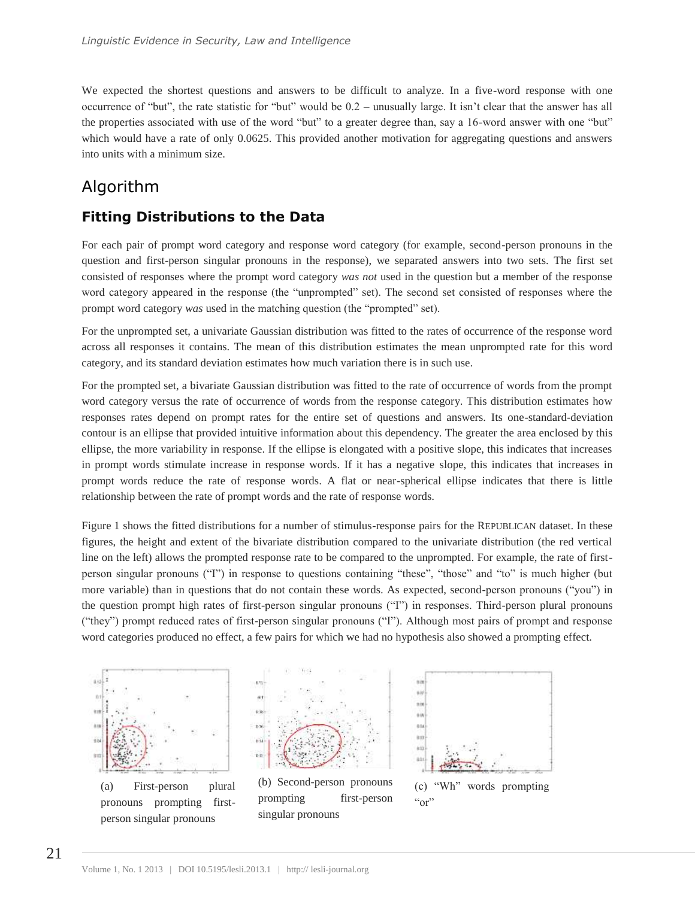We expected the shortest questions and answers to be difficult to analyze. In a five-word response with one occurrence of "but", the rate statistic for "but" would be 0.2 – unusually large. It isn't clear that the answer has all the properties associated with use of the word "but" to a greater degree than, say a 16-word answer with one "but" which would have a rate of only 0.0625. This provided another motivation for aggregating questions and answers into units with a minimum size.

# Algorithm

## **Fitting Distributions to the Data**

For each pair of prompt word category and response word category (for example, second-person pronouns in the question and first-person singular pronouns in the response), we separated answers into two sets. The first set consisted of responses where the prompt word category *was not* used in the question but a member of the response word category appeared in the response (the "unprompted" set). The second set consisted of responses where the prompt word category *was* used in the matching question (the "prompted" set).

For the unprompted set, a univariate Gaussian distribution was fitted to the rates of occurrence of the response word across all responses it contains. The mean of this distribution estimates the mean unprompted rate for this word category, and its standard deviation estimates how much variation there is in such use.

For the prompted set, a bivariate Gaussian distribution was fitted to the rate of occurrence of words from the prompt word category versus the rate of occurrence of words from the response category. This distribution estimates how responses rates depend on prompt rates for the entire set of questions and answers. Its one-standard-deviation contour is an ellipse that provided intuitive information about this dependency. The greater the area enclosed by this ellipse, the more variability in response. If the ellipse is elongated with a positive slope, this indicates that increases in prompt words stimulate increase in response words. If it has a negative slope, this indicates that increases in prompt words reduce the rate of response words. A flat or near-spherical ellipse indicates that there is little relationship between the rate of prompt words and the rate of response words.

Figure 1 shows the fitted distributions for a number of stimulus-response pairs for the REPUBLICAN dataset. In these figures, the height and extent of the bivariate distribution compared to the univariate distribution (the red vertical line on the left) allows the prompted response rate to be compared to the unprompted. For example, the rate of firstperson singular pronouns ("I") in response to questions containing "these", "those" and "to" is much higher (but more variable) than in questions that do not contain these words. As expected, second-person pronouns ("you") in the question prompt high rates of first-person singular pronouns ("I") in responses. Third-person plural pronouns ("they") prompt reduced rates of first-person singular pronouns ("I"). Although most pairs of prompt and response word categories produced no effect, a few pairs for which we had no hypothesis also showed a prompting effect.



(a) First-person plural pronouns prompting firstperson singular pronouns



(b) Second-person pronouns prompting first-person singular pronouns



(c) "Wh" words prompting  $\alpha$ "or"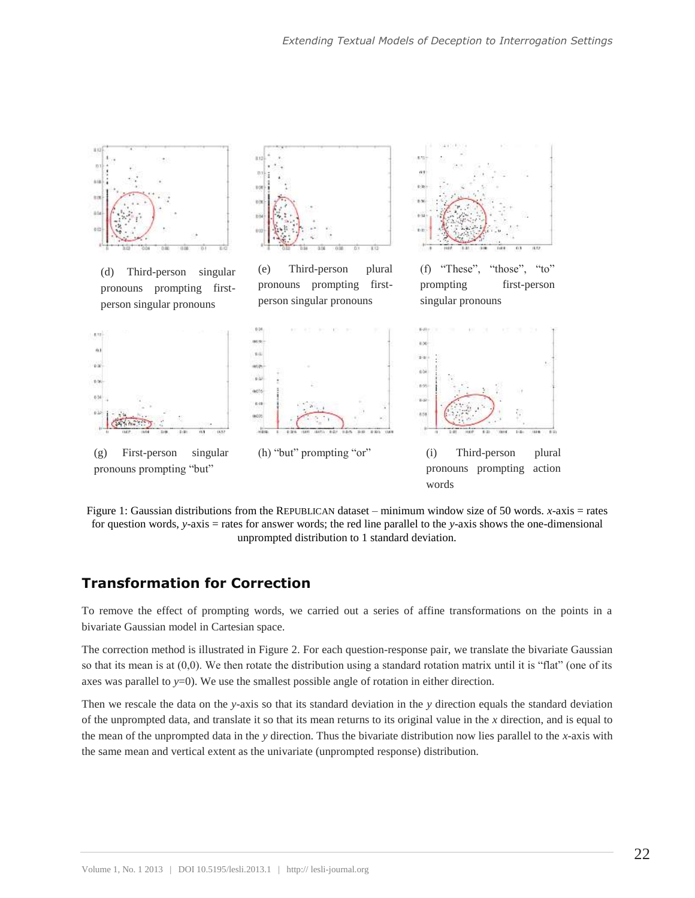

Figure 1: Gaussian distributions from the REPUBLICAN dataset – minimum window size of 50 words. *x*-axis = rates for question words, *y*-axis = rates for answer words; the red line parallel to the *y*-axis shows the one-dimensional unprompted distribution to 1 standard deviation.

## **Transformation for Correction**

To remove the effect of prompting words, we carried out a series of affine transformations on the points in a bivariate Gaussian model in Cartesian space.

The correction method is illustrated in Figure 2. For each question-response pair, we translate the bivariate Gaussian so that its mean is at (0,0). We then rotate the distribution using a standard rotation matrix until it is "flat" (one of its axes was parallel to  $y=0$ ). We use the smallest possible angle of rotation in either direction.

Then we rescale the data on the *y*-axis so that its standard deviation in the *y* direction equals the standard deviation of the unprompted data, and translate it so that its mean returns to its original value in the *x* direction, and is equal to the mean of the unprompted data in the *y* direction. Thus the bivariate distribution now lies parallel to the *x*-axis with the same mean and vertical extent as the univariate (unprompted response) distribution.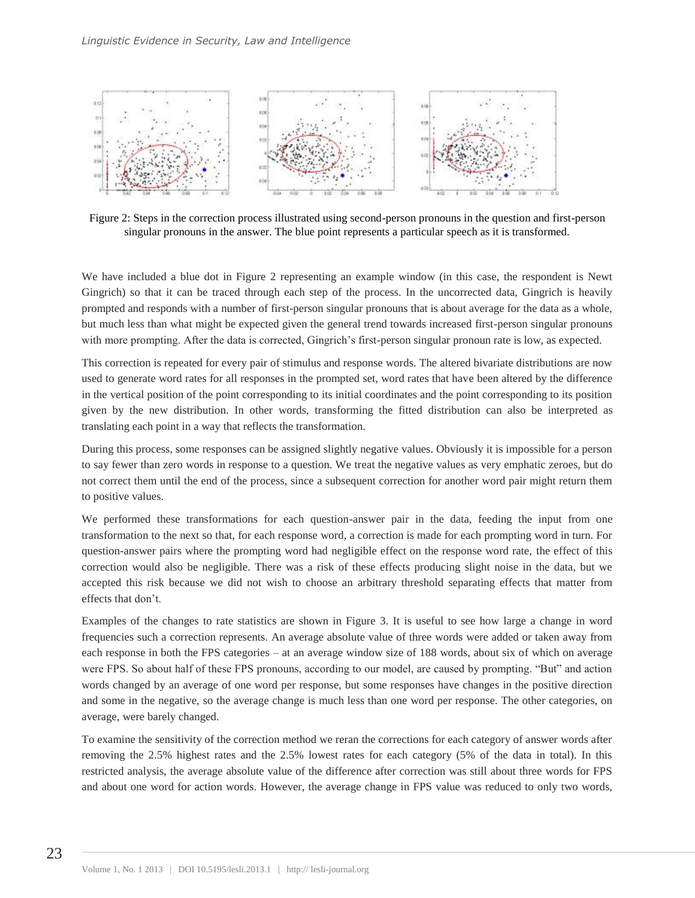

Figure 2: Steps in the correction process illustrated using second-person pronouns in the question and first-person singular pronouns in the answer. The blue point represents a particular speech as it is transformed.

We have included a blue dot in Figure 2 representing an example window (in this case, the respondent is Newt Gingrich) so that it can be traced through each step of the process. In the uncorrected data, Gingrich is heavily prompted and responds with a number of first-person singular pronouns that is about average for the data as a whole, but much less than what might be expected given the general trend towards increased first-person singular pronouns with more prompting. After the data is corrected, Gingrich's first-person singular pronoun rate is low, as expected.

This correction is repeated for every pair of stimulus and response words. The altered bivariate distributions are now used to generate word rates for all responses in the prompted set, word rates that have been altered by the difference in the vertical position of the point corresponding to its initial coordinates and the point corresponding to its position given by the new distribution. In other words, transforming the fitted distribution can also be interpreted as translating each point in a way that reflects the transformation.

During this process, some responses can be assigned slightly negative values. Obviously it is impossible for a person to say fewer than zero words in response to a question. We treat the negative values as very emphatic zeroes, but do not correct them until the end of the process, since a subsequent correction for another word pair might return them to positive values.

We performed these transformations for each question-answer pair in the data, feeding the input from one transformation to the next so that, for each response word, a correction is made for each prompting word in turn. For question-answer pairs where the prompting word had negligible effect on the response word rate, the effect of this correction would also be negligible. There was a risk of these effects producing slight noise in the data, but we accepted this risk because we did not wish to choose an arbitrary threshold separating effects that matter from effects that don't.

Examples of the changes to rate statistics are shown in Figure 3. It is useful to see how large a change in word frequencies such a correction represents. An average absolute value of three words were added or taken away from each response in both the FPS categories – at an average window size of 188 words, about six of which on average were FPS. So about half of these FPS pronouns, according to our model, are caused by prompting. "But" and action words changed by an average of one word per response, but some responses have changes in the positive direction and some in the negative, so the average change is much less than one word per response. The other categories, on average, were barely changed.

To examine the sensitivity of the correction method we reran the corrections for each category of answer words after removing the 2.5% highest rates and the 2.5% lowest rates for each category (5% of the data in total). In this restricted analysis, the average absolute value of the difference after correction was still about three words for FPS and about one word for action words. However, the average change in FPS value was reduced to only two words,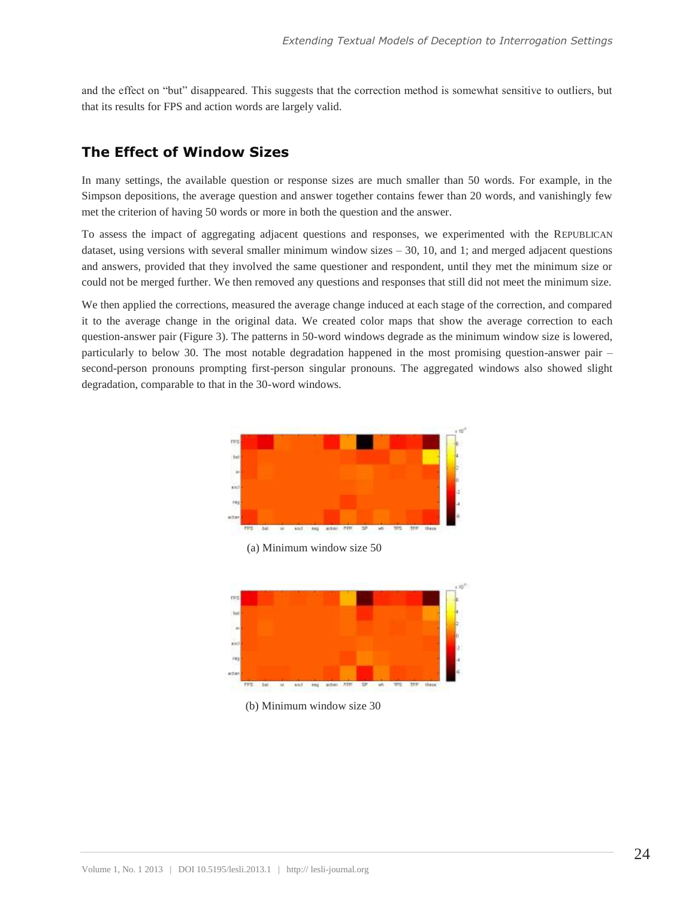and the effect on "but" disappeared. This suggests that the correction method is somewhat sensitive to outliers, but that its results for FPS and action words are largely valid.

#### **The Effect of Window Sizes**

In many settings, the available question or response sizes are much smaller than 50 words. For example, in the Simpson depositions, the average question and answer together contains fewer than 20 words, and vanishingly few met the criterion of having 50 words or more in both the question and the answer.

To assess the impact of aggregating adjacent questions and responses, we experimented with the REPUBLICAN dataset, using versions with several smaller minimum window sizes – 30, 10, and 1; and merged adjacent questions and answers, provided that they involved the same questioner and respondent, until they met the minimum size or could not be merged further. We then removed any questions and responses that still did not meet the minimum size.

We then applied the corrections, measured the average change induced at each stage of the correction, and compared it to the average change in the original data. We created color maps that show the average correction to each question-answer pair (Figure 3). The patterns in 50-word windows degrade as the minimum window size is lowered, particularly to below 30. The most notable degradation happened in the most promising question-answer pair – second-person pronouns prompting first-person singular pronouns. The aggregated windows also showed slight degradation, comparable to that in the 30-word windows.



(b) Minimum window size 30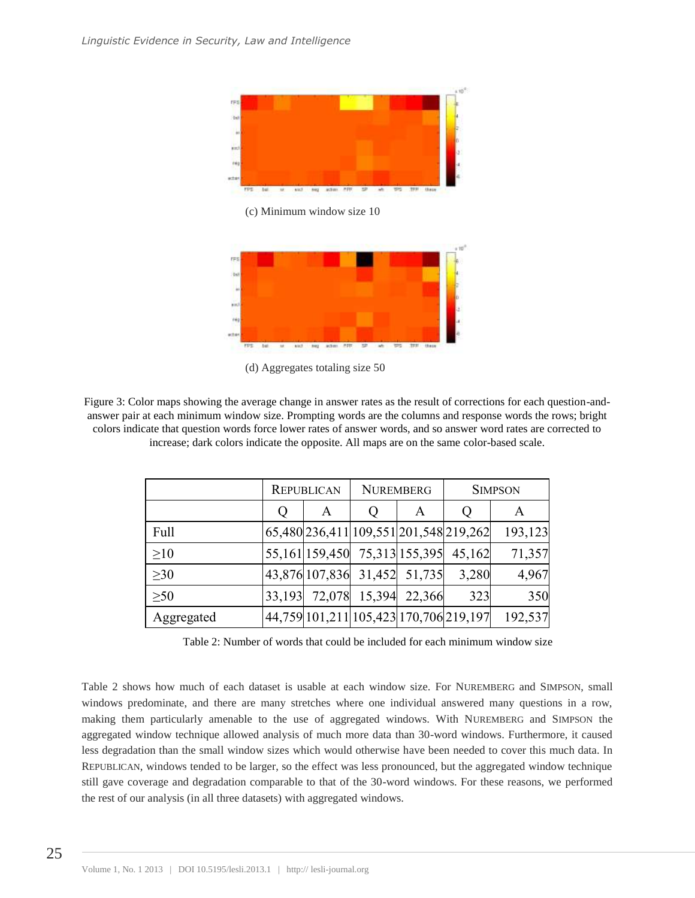

(c) Minimum window size 10



(d) Aggregates totaling size 50

Figure 3: Color maps showing the average change in answer rates as the result of corrections for each question-andanswer pair at each minimum window size. Prompting words are the columns and response words the rows; bright colors indicate that question words force lower rates of answer words, and so answer word rates are corrected to increase; dark colors indicate the opposite. All maps are on the same color-based scale.

|            | <b>REPUBLICAN</b> |                               | <b>NUREMBERG</b> |        | <b>SIMPSON</b>                         |         |
|------------|-------------------|-------------------------------|------------------|--------|----------------------------------------|---------|
|            | Ő                 | A                             | Ő                | A      | Ő                                      | A       |
| Full       |                   |                               |                  |        | 65,480 236,411 109,551 201,548 219,262 | 193,123 |
| >10        |                   | 55,161 159,450 75,313 155,395 |                  |        | 45,162                                 | 71,357  |
| $\geq 30$  |                   | 43,876 107,836 31,452 51,735  |                  |        | 3,280                                  | 4,967   |
| $\geq 50$  |                   | 33,193 72,078 15,394          |                  | 22,366 | 323                                    | 350     |
| Aggregated |                   |                               |                  |        | 44,759 101,211 105,423 170,706 219,197 | 192,537 |

Table 2: Number of words that could be included for each minimum window size

Table 2 shows how much of each dataset is usable at each window size. For NUREMBERG and SIMPSON, small windows predominate, and there are many stretches where one individual answered many questions in a row, making them particularly amenable to the use of aggregated windows. With NUREMBERG and SIMPSON the aggregated window technique allowed analysis of much more data than 30-word windows. Furthermore, it caused less degradation than the small window sizes which would otherwise have been needed to cover this much data. In REPUBLICAN, windows tended to be larger, so the effect was less pronounced, but the aggregated window technique still gave coverage and degradation comparable to that of the 30-word windows. For these reasons, we performed the rest of our analysis (in all three datasets) with aggregated windows.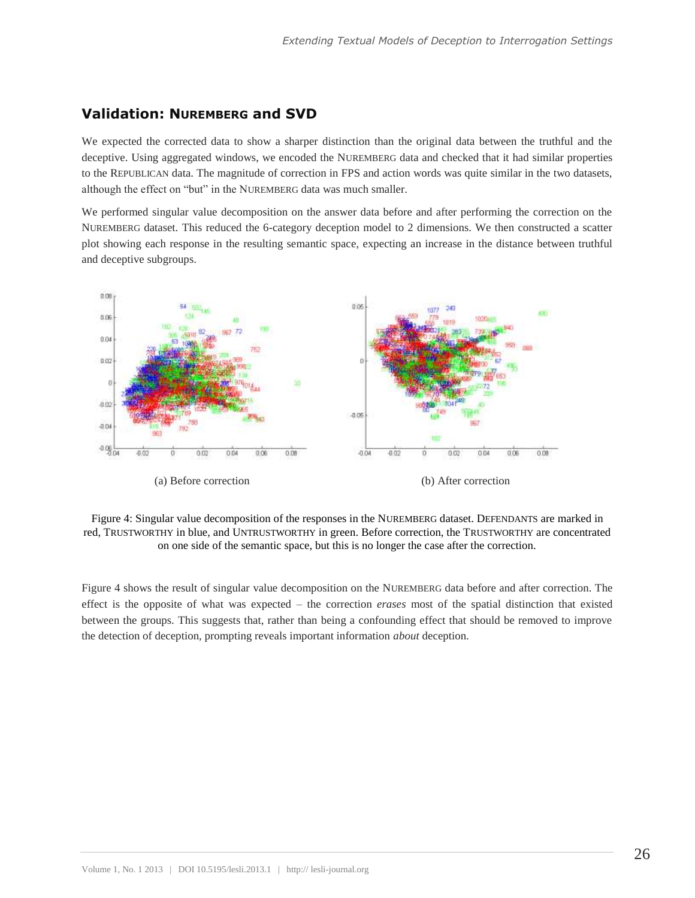#### **Validation: NUREMBERG and SVD**

We expected the corrected data to show a sharper distinction than the original data between the truthful and the deceptive. Using aggregated windows, we encoded the NUREMBERG data and checked that it had similar properties to the REPUBLICAN data. The magnitude of correction in FPS and action words was quite similar in the two datasets, although the effect on "but" in the NUREMBERG data was much smaller.

We performed singular value decomposition on the answer data before and after performing the correction on the NUREMBERG dataset. This reduced the 6-category deception model to 2 dimensions. We then constructed a scatter plot showing each response in the resulting semantic space, expecting an increase in the distance between truthful and deceptive subgroups.



Figure 4: Singular value decomposition of the responses in the NUREMBERG dataset. DEFENDANTS are marked in red, TRUSTWORTHY in blue, and UNTRUSTWORTHY in green. Before correction, the TRUSTWORTHY are concentrated on one side of the semantic space, but this is no longer the case after the correction.

Figure 4 shows the result of singular value decomposition on the NUREMBERG data before and after correction. The effect is the opposite of what was expected – the correction *erases* most of the spatial distinction that existed between the groups. This suggests that, rather than being a confounding effect that should be removed to improve the detection of deception, prompting reveals important information *about* deception.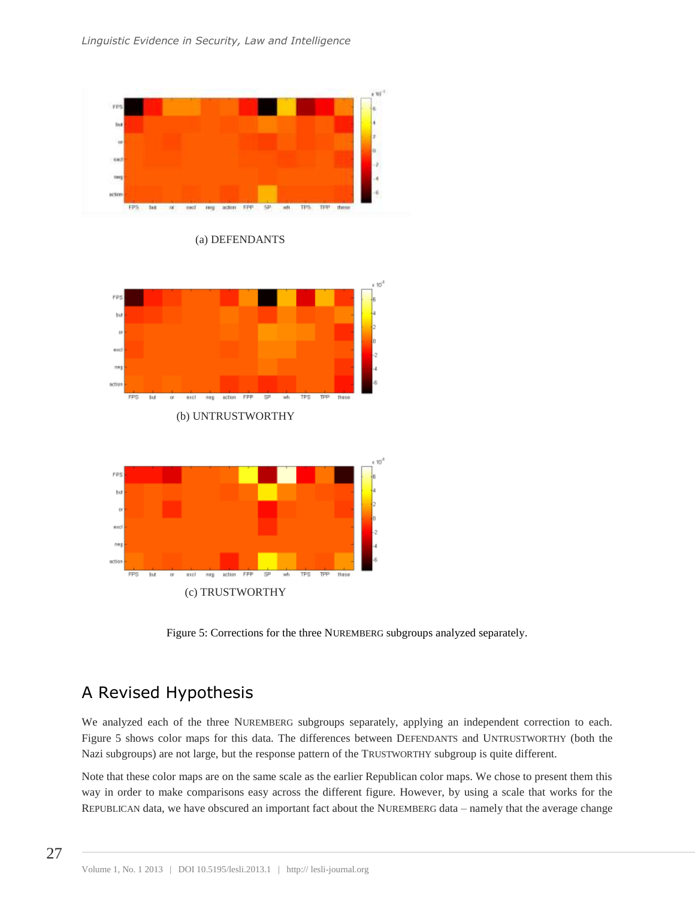

(a) DEFENDANTS





Figure 5: Corrections for the three NUREMBERG subgroups analyzed separately.

# A Revised Hypothesis

We analyzed each of the three NUREMBERG subgroups separately, applying an independent correction to each. Figure 5 shows color maps for this data. The differences between DEFENDANTS and UNTRUSTWORTHY (both the Nazi subgroups) are not large, but the response pattern of the TRUSTWORTHY subgroup is quite different.

Note that these color maps are on the same scale as the earlier Republican color maps. We chose to present them this way in order to make comparisons easy across the different figure. However, by using a scale that works for the REPUBLICAN data, we have obscured an important fact about the NUREMBERG data – namely that the average change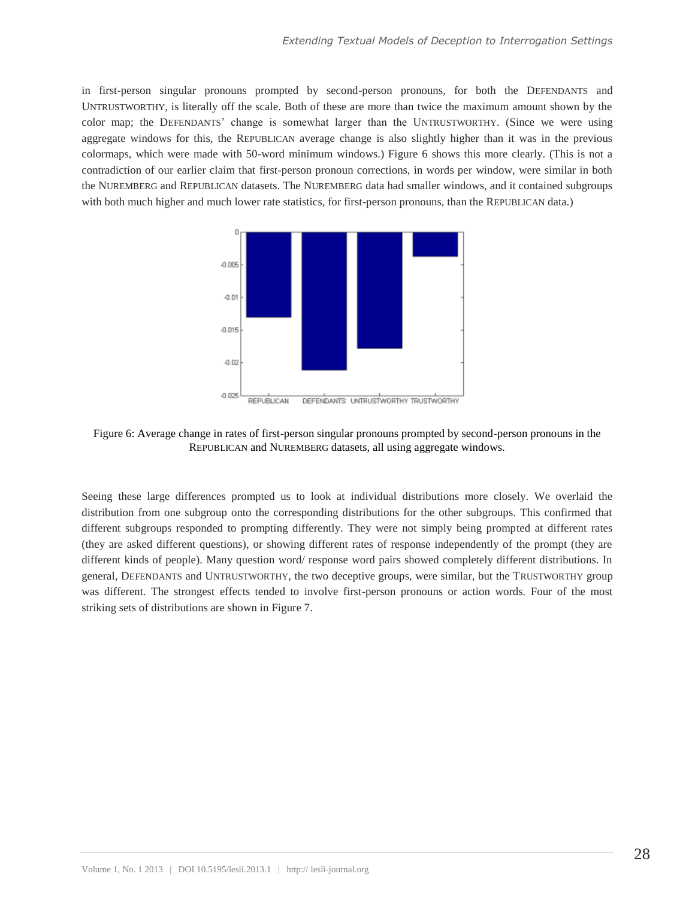in first-person singular pronouns prompted by second-person pronouns, for both the DEFENDANTS and UNTRUSTWORTHY, is literally off the scale. Both of these are more than twice the maximum amount shown by the color map; the DEFENDANTS' change is somewhat larger than the UNTRUSTWORTHY. (Since we were using aggregate windows for this, the REPUBLICAN average change is also slightly higher than it was in the previous colormaps, which were made with 50-word minimum windows.) Figure 6 shows this more clearly. (This is not a contradiction of our earlier claim that first-person pronoun corrections, in words per window, were similar in both the NUREMBERG and REPUBLICAN datasets. The NUREMBERG data had smaller windows, and it contained subgroups with both much higher and much lower rate statistics, for first-person pronouns, than the REPUBLICAN data.)



Figure 6: Average change in rates of first-person singular pronouns prompted by second-person pronouns in the REPUBLICAN and NUREMBERG datasets, all using aggregate windows.

Seeing these large differences prompted us to look at individual distributions more closely. We overlaid the distribution from one subgroup onto the corresponding distributions for the other subgroups. This confirmed that different subgroups responded to prompting differently. They were not simply being prompted at different rates (they are asked different questions), or showing different rates of response independently of the prompt (they are different kinds of people). Many question word/ response word pairs showed completely different distributions. In general, DEFENDANTS and UNTRUSTWORTHY, the two deceptive groups, were similar, but the TRUSTWORTHY group was different. The strongest effects tended to involve first-person pronouns or action words. Four of the most striking sets of distributions are shown in Figure 7.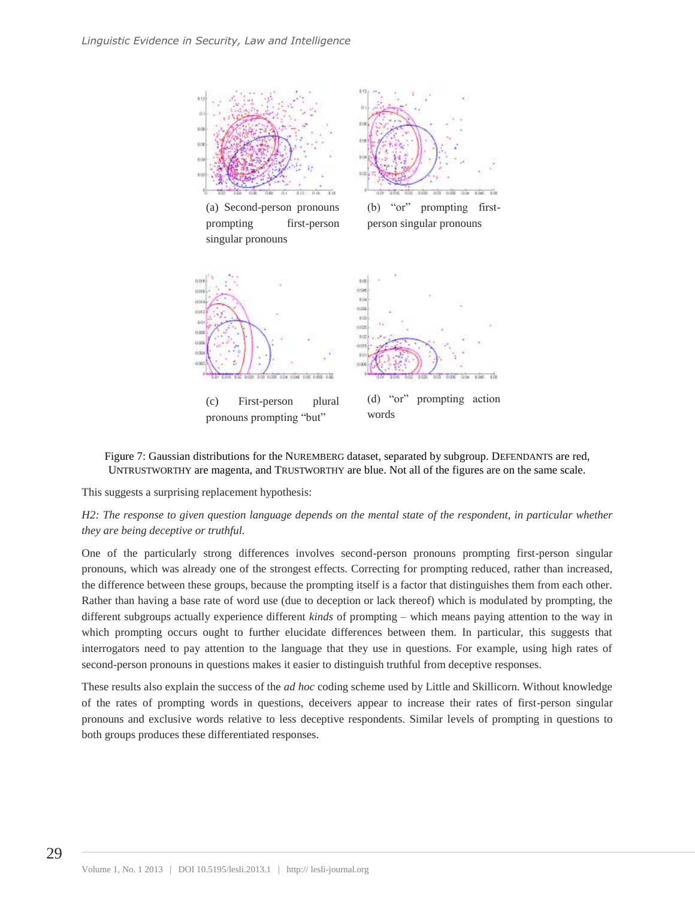

prompting first-person

singular pronouns

person singular pronouns



Figure 7: Gaussian distributions for the NUREMBERG dataset, separated by subgroup. DEFENDANTS are red, UNTRUSTWORTHY are magenta, and TRUSTWORTHY are blue. Not all of the figures are on the same scale.

This suggests a surprising replacement hypothesis:

*H2: The response to given question language depends on the mental state of the respondent, in particular whether they are being deceptive or truthful.*

One of the particularly strong differences involves second-person pronouns prompting first-person singular pronouns, which was already one of the strongest effects. Correcting for prompting reduced, rather than increased, the difference between these groups, because the prompting itself is a factor that distinguishes them from each other. Rather than having a base rate of word use (due to deception or lack thereof) which is modulated by prompting, the different subgroups actually experience different *kinds* of prompting – which means paying attention to the way in which prompting occurs ought to further elucidate differences between them. In particular, this suggests that interrogators need to pay attention to the language that they use in questions. For example, using high rates of second-person pronouns in questions makes it easier to distinguish truthful from deceptive responses.

These results also explain the success of the *ad hoc* coding scheme used by Little and Skillicorn. Without knowledge of the rates of prompting words in questions, deceivers appear to increase their rates of first-person singular pronouns and exclusive words relative to less deceptive respondents. Similar levels of prompting in questions to both groups produces these differentiated responses.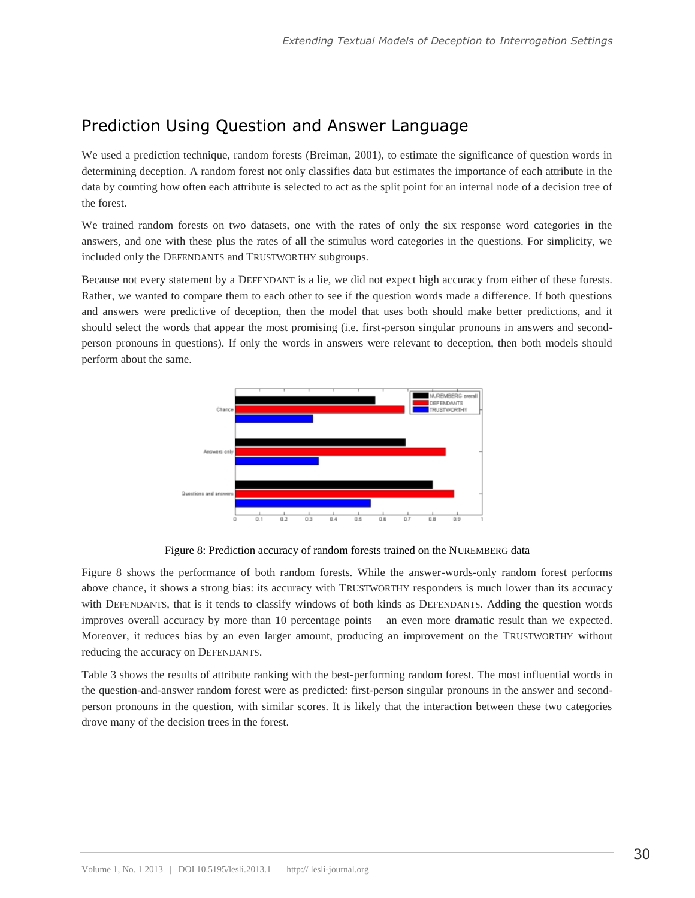# Prediction Using Question and Answer Language

We used a prediction technique, random forests (Breiman, 2001), to estimate the significance of question words in determining deception. A random forest not only classifies data but estimates the importance of each attribute in the data by counting how often each attribute is selected to act as the split point for an internal node of a decision tree of the forest.

We trained random forests on two datasets, one with the rates of only the six response word categories in the answers, and one with these plus the rates of all the stimulus word categories in the questions. For simplicity, we included only the DEFENDANTS and TRUSTWORTHY subgroups.

Because not every statement by a DEFENDANT is a lie, we did not expect high accuracy from either of these forests. Rather, we wanted to compare them to each other to see if the question words made a difference. If both questions and answers were predictive of deception, then the model that uses both should make better predictions, and it should select the words that appear the most promising (i.e. first-person singular pronouns in answers and secondperson pronouns in questions). If only the words in answers were relevant to deception, then both models should perform about the same.



Figure 8: Prediction accuracy of random forests trained on the NUREMBERG data

Figure 8 shows the performance of both random forests. While the answer-words-only random forest performs above chance, it shows a strong bias: its accuracy with TRUSTWORTHY responders is much lower than its accuracy with DEFENDANTS, that is it tends to classify windows of both kinds as DEFENDANTS. Adding the question words improves overall accuracy by more than 10 percentage points – an even more dramatic result than we expected. Moreover, it reduces bias by an even larger amount, producing an improvement on the TRUSTWORTHY without reducing the accuracy on DEFENDANTS.

Table 3 shows the results of attribute ranking with the best-performing random forest. The most influential words in the question-and-answer random forest were as predicted: first-person singular pronouns in the answer and secondperson pronouns in the question, with similar scores. It is likely that the interaction between these two categories drove many of the decision trees in the forest.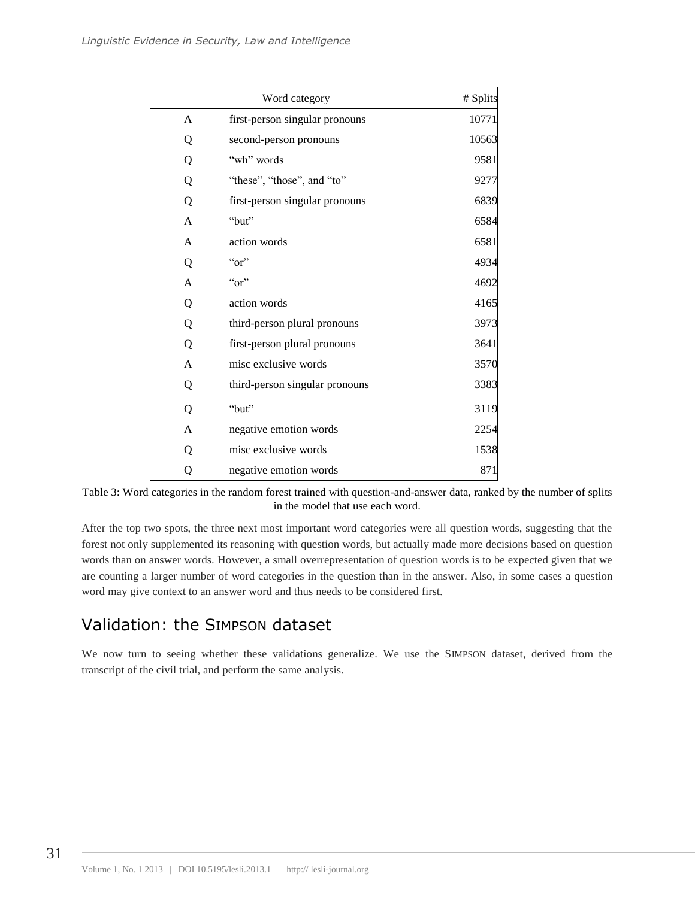|                | # Splits                       |       |
|----------------|--------------------------------|-------|
| A              | first-person singular pronouns | 10771 |
| Q              | second-person pronouns         | 10563 |
| Q              | "wh" words                     | 9581  |
| Q              | "these", "those", and "to"     | 9277  |
| Q              | first-person singular pronouns | 6839  |
| $\overline{A}$ | "but"                          | 6584  |
| A              | action words                   | 6581  |
| Q              | $\alpha$ <sup>"</sup>          | 4934  |
| A              | " $or$ "                       | 4692  |
| Q              | action words                   | 4165  |
| Q              | third-person plural pronouns   | 3973  |
| Q              | first-person plural pronouns   | 3641  |
| A              | misc exclusive words           | 3570  |
| Q              | third-person singular pronouns | 3383  |
| Q              | "but"                          | 3119  |
| $\overline{A}$ | negative emotion words         | 2254  |
| Q              | misc exclusive words           | 1538  |
| Q              | negative emotion words         | 871   |

Table 3: Word categories in the random forest trained with question-and-answer data, ranked by the number of splits in the model that use each word.

After the top two spots, the three next most important word categories were all question words, suggesting that the forest not only supplemented its reasoning with question words, but actually made more decisions based on question words than on answer words. However, a small overrepresentation of question words is to be expected given that we are counting a larger number of word categories in the question than in the answer. Also, in some cases a question word may give context to an answer word and thus needs to be considered first.

# Validation: the SIMPSON dataset

We now turn to seeing whether these validations generalize. We use the SIMPSON dataset, derived from the transcript of the civil trial, and perform the same analysis.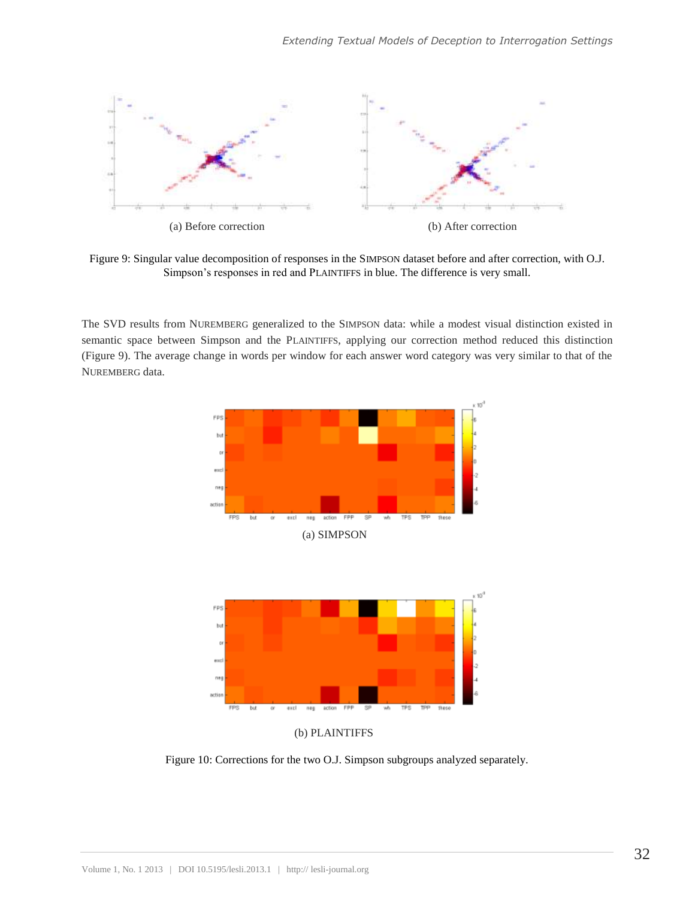

Figure 9: Singular value decomposition of responses in the SIMPSON dataset before and after correction, with O.J. Simpson's responses in red and PLAINTIFFS in blue. The difference is very small.

The SVD results from NUREMBERG generalized to the SIMPSON data: while a modest visual distinction existed in semantic space between Simpson and the PLAINTIFFS, applying our correction method reduced this distinction (Figure 9). The average change in words per window for each answer word category was very similar to that of the NUREMBERG data.





(b) PLAINTIFFS

Figure 10: Corrections for the two O.J. Simpson subgroups analyzed separately.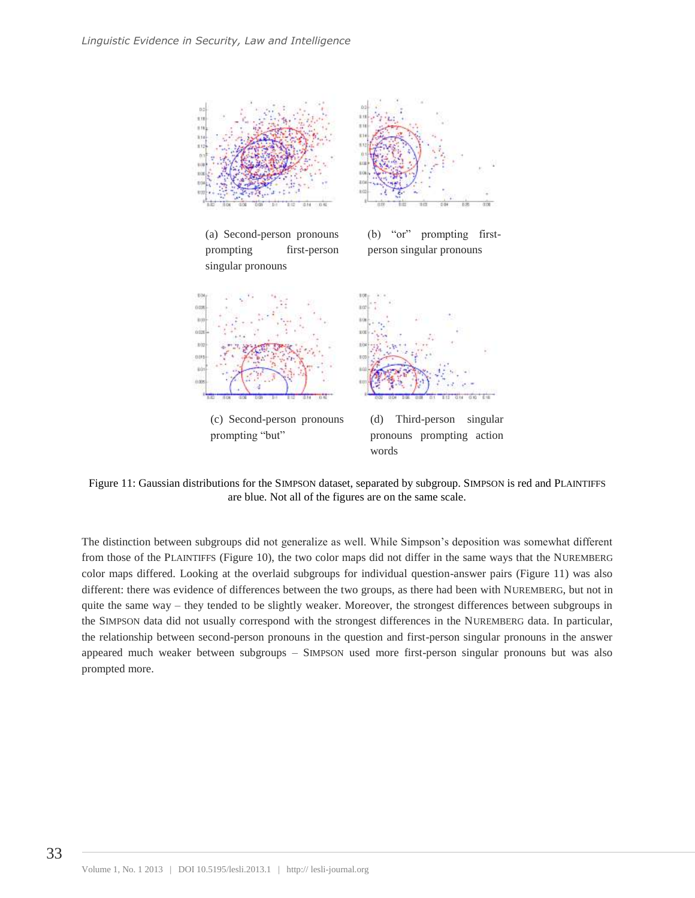



(d) Third-person singular pronouns prompting action words

Figure 11: Gaussian distributions for the SIMPSON dataset, separated by subgroup. SIMPSON is red and PLAINTIFFS are blue. Not all of the figures are on the same scale.

The distinction between subgroups did not generalize as well. While Simpson's deposition was somewhat different from those of the PLAINTIFFS (Figure 10), the two color maps did not differ in the same ways that the NUREMBERG color maps differed. Looking at the overlaid subgroups for individual question-answer pairs (Figure 11) was also different: there was evidence of differences between the two groups, as there had been with NUREMBERG, but not in quite the same way – they tended to be slightly weaker. Moreover, the strongest differences between subgroups in the SIMPSON data did not usually correspond with the strongest differences in the NUREMBERG data. In particular, the relationship between second-person pronouns in the question and first-person singular pronouns in the answer appeared much weaker between subgroups – SIMPSON used more first-person singular pronouns but was also prompted more.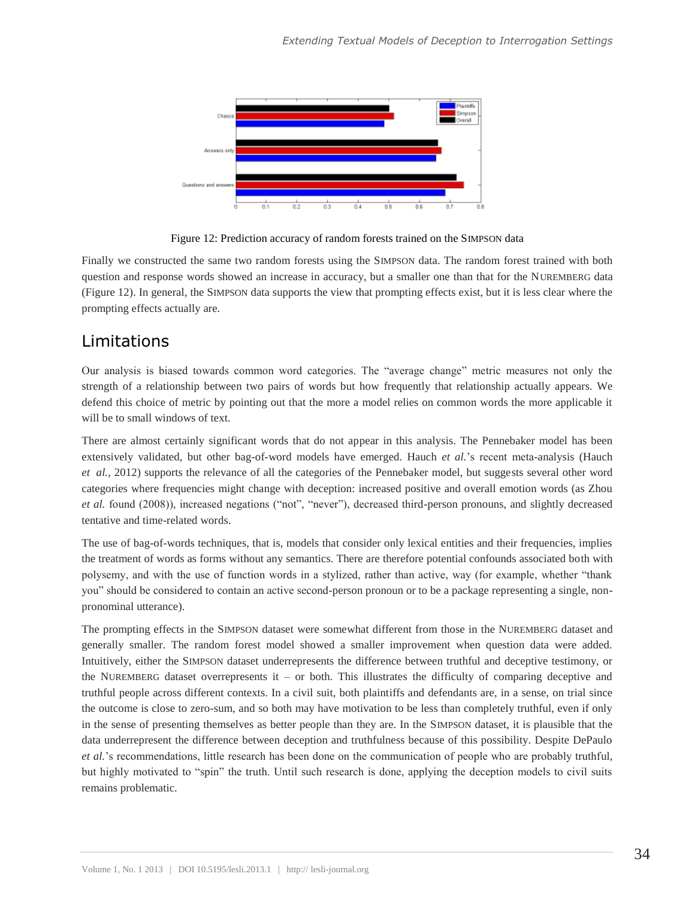

Figure 12: Prediction accuracy of random forests trained on the SIMPSON data

Finally we constructed the same two random forests using the SIMPSON data. The random forest trained with both question and response words showed an increase in accuracy, but a smaller one than that for the NUREMBERG data (Figure 12). In general, the SIMPSON data supports the view that prompting effects exist, but it is less clear where the prompting effects actually are.

## Limitations

Our analysis is biased towards common word categories. The "average change" metric measures not only the strength of a relationship between two pairs of words but how frequently that relationship actually appears. We defend this choice of metric by pointing out that the more a model relies on common words the more applicable it will be to small windows of text.

There are almost certainly significant words that do not appear in this analysis. The Pennebaker model has been extensively validated, but other bag-of-word models have emerged. Hauch *et al.*'s recent meta-analysis (Hauch *et al.*, 2012) supports the relevance of all the categories of the Pennebaker model, but suggests several other word categories where frequencies might change with deception: increased positive and overall emotion words (as Zhou *et al.* found (2008)), increased negations ("not", "never"), decreased third-person pronouns, and slightly decreased tentative and time-related words.

The use of bag-of-words techniques, that is, models that consider only lexical entities and their frequencies, implies the treatment of words as forms without any semantics. There are therefore potential confounds associated both with polysemy, and with the use of function words in a stylized, rather than active, way (for example, whether "thank you" should be considered to contain an active second-person pronoun or to be a package representing a single, nonpronominal utterance).

The prompting effects in the SIMPSON dataset were somewhat different from those in the NUREMBERG dataset and generally smaller. The random forest model showed a smaller improvement when question data were added. Intuitively, either the SIMPSON dataset underrepresents the difference between truthful and deceptive testimony, or the NUREMBERG dataset overrepresents it – or both. This illustrates the difficulty of comparing deceptive and truthful people across different contexts. In a civil suit, both plaintiffs and defendants are, in a sense, on trial since the outcome is close to zero-sum, and so both may have motivation to be less than completely truthful, even if only in the sense of presenting themselves as better people than they are. In the SIMPSON dataset, it is plausible that the data underrepresent the difference between deception and truthfulness because of this possibility. Despite DePaulo *et al.*'s recommendations, little research has been done on the communication of people who are probably truthful, but highly motivated to "spin" the truth. Until such research is done, applying the deception models to civil suits remains problematic.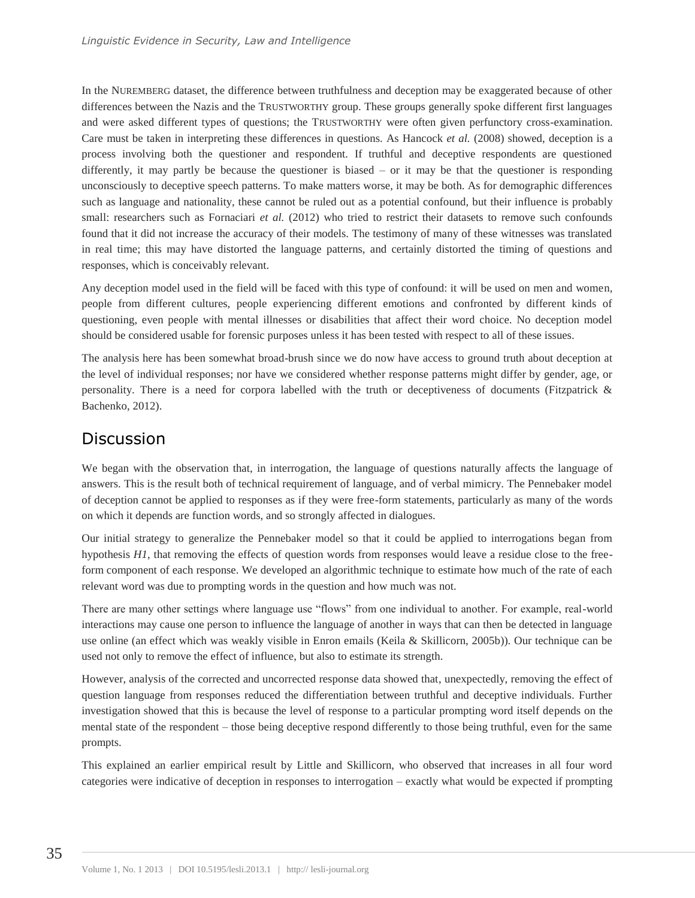In the NUREMBERG dataset, the difference between truthfulness and deception may be exaggerated because of other differences between the Nazis and the TRUSTWORTHY group. These groups generally spoke different first languages and were asked different types of questions; the TRUSTWORTHY were often given perfunctory cross-examination. Care must be taken in interpreting these differences in questions. As Hancock *et al.* (2008) showed, deception is a process involving both the questioner and respondent. If truthful and deceptive respondents are questioned differently, it may partly be because the questioner is biased – or it may be that the questioner is responding unconsciously to deceptive speech patterns. To make matters worse, it may be both. As for demographic differences such as language and nationality, these cannot be ruled out as a potential confound, but their influence is probably small: researchers such as Fornaciari *et al.* (2012) who tried to restrict their datasets to remove such confounds found that it did not increase the accuracy of their models. The testimony of many of these witnesses was translated in real time; this may have distorted the language patterns, and certainly distorted the timing of questions and responses, which is conceivably relevant.

Any deception model used in the field will be faced with this type of confound: it will be used on men and women, people from different cultures, people experiencing different emotions and confronted by different kinds of questioning, even people with mental illnesses or disabilities that affect their word choice. No deception model should be considered usable for forensic purposes unless it has been tested with respect to all of these issues.

The analysis here has been somewhat broad-brush since we do now have access to ground truth about deception at the level of individual responses; nor have we considered whether response patterns might differ by gender, age, or personality. There is a need for corpora labelled with the truth or deceptiveness of documents (Fitzpatrick & Bachenko, 2012).

# Discussion

We began with the observation that, in interrogation, the language of questions naturally affects the language of answers. This is the result both of technical requirement of language, and of verbal mimicry. The Pennebaker model of deception cannot be applied to responses as if they were free-form statements, particularly as many of the words on which it depends are function words, and so strongly affected in dialogues.

Our initial strategy to generalize the Pennebaker model so that it could be applied to interrogations began from hypothesis *H1*, that removing the effects of question words from responses would leave a residue close to the freeform component of each response. We developed an algorithmic technique to estimate how much of the rate of each relevant word was due to prompting words in the question and how much was not.

There are many other settings where language use "flows" from one individual to another. For example, real-world interactions may cause one person to influence the language of another in ways that can then be detected in language use online (an effect which was weakly visible in Enron emails (Keila & Skillicorn, 2005b)). Our technique can be used not only to remove the effect of influence, but also to estimate its strength.

However, analysis of the corrected and uncorrected response data showed that, unexpectedly, removing the effect of question language from responses reduced the differentiation between truthful and deceptive individuals. Further investigation showed that this is because the level of response to a particular prompting word itself depends on the mental state of the respondent – those being deceptive respond differently to those being truthful, even for the same prompts.

This explained an earlier empirical result by Little and Skillicorn, who observed that increases in all four word categories were indicative of deception in responses to interrogation – exactly what would be expected if prompting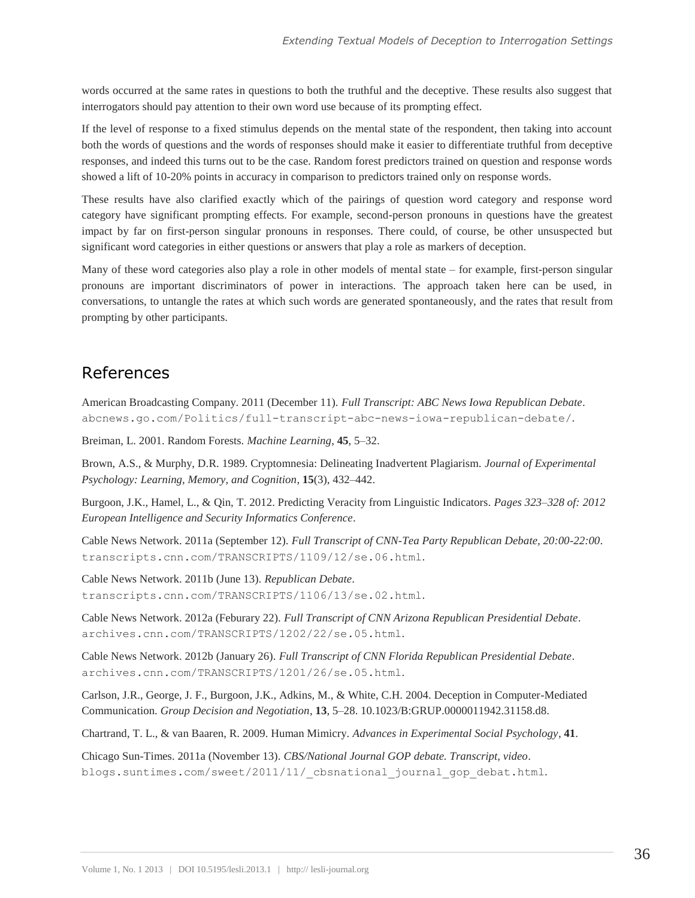words occurred at the same rates in questions to both the truthful and the deceptive. These results also suggest that interrogators should pay attention to their own word use because of its prompting effect.

If the level of response to a fixed stimulus depends on the mental state of the respondent, then taking into account both the words of questions and the words of responses should make it easier to differentiate truthful from deceptive responses, and indeed this turns out to be the case. Random forest predictors trained on question and response words showed a lift of 10-20% points in accuracy in comparison to predictors trained only on response words.

These results have also clarified exactly which of the pairings of question word category and response word category have significant prompting effects. For example, second-person pronouns in questions have the greatest impact by far on first-person singular pronouns in responses. There could, of course, be other unsuspected but significant word categories in either questions or answers that play a role as markers of deception.

Many of these word categories also play a role in other models of mental state – for example, first-person singular pronouns are important discriminators of power in interactions. The approach taken here can be used, in conversations, to untangle the rates at which such words are generated spontaneously, and the rates that result from prompting by other participants.

# References

American Broadcasting Company. 2011 (December 11). *Full Transcript: ABC News Iowa Republican Debate*. abcnews.go.com/Politics/full-transcript-abc-news-iowa-republican-debate/.

Breiman, L. 2001. Random Forests. *Machine Learning*, **45**, 5–32.

Brown, A.S., & Murphy, D.R. 1989. Cryptomnesia: Delineating Inadvertent Plagiarism. *Journal of Experimental Psychology: Learning, Memory, and Cognition*, **15**(3), 432–442.

Burgoon, J.K., Hamel, L., & Qin, T. 2012. Predicting Veracity from Linguistic Indicators. *Pages 323–328 of: 2012 European Intelligence and Security Informatics Conference*.

Cable News Network. 2011a (September 12). *Full Transcript of CNN-Tea Party Republican Debate, 20:00-22:00*. transcripts.cnn.com/TRANSCRIPTS/1109/12/se.06.html.

Cable News Network. 2011b (June 13). *Republican Debate*. transcripts.cnn.com/TRANSCRIPTS/1106/13/se.02.html.

Cable News Network. 2012a (Feburary 22). *Full Transcript of CNN Arizona Republican Presidential Debate*. archives.cnn.com/TRANSCRIPTS/1202/22/se.05.html.

Cable News Network. 2012b (January 26). *Full Transcript of CNN Florida Republican Presidential Debate*. archives.cnn.com/TRANSCRIPTS/1201/26/se.05.html.

Carlson, J.R., George, J. F., Burgoon, J.K., Adkins, M., & White, C.H. 2004. Deception in Computer-Mediated Communication. *Group Decision and Negotiation*, **13**, 5–28. 10.1023/B:GRUP.0000011942.31158.d8.

Chartrand, T. L., & van Baaren, R. 2009. Human Mimicry. *Advances in Experimental Social Psychology*, **41**.

Chicago Sun-Times. 2011a (November 13). *CBS/National Journal GOP debate. Transcript, video*. blogs.suntimes.com/sweet/2011/11/\_cbsnational\_journal\_gop\_debat.html.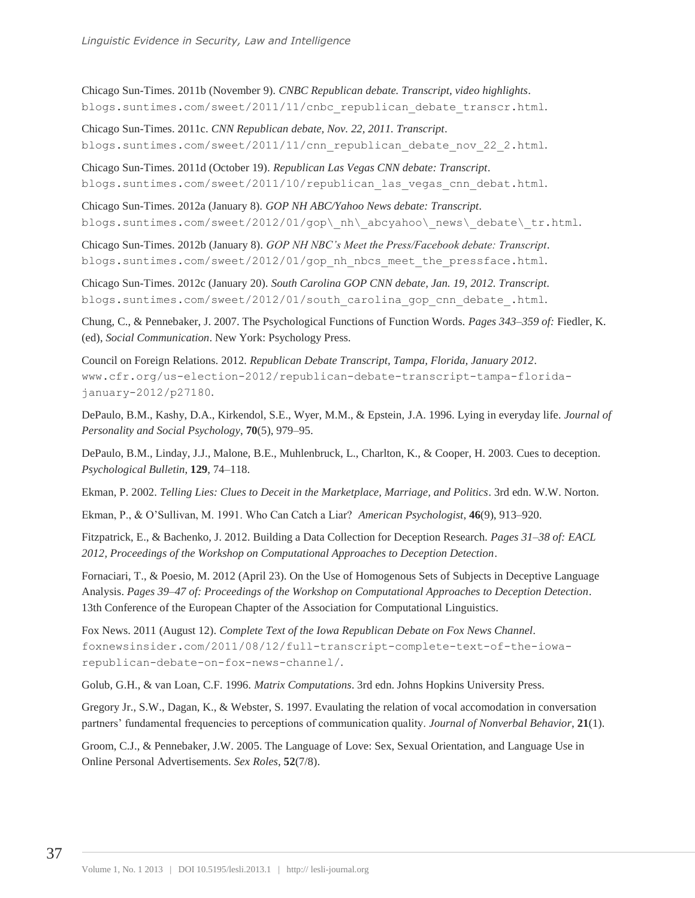Chicago Sun-Times. 2011b (November 9). *CNBC Republican debate. Transcript, video highlights*. blogs.suntimes.com/sweet/2011/11/cnbc\_republican\_debate\_transcr.html.

Chicago Sun-Times. 2011c. *CNN Republican debate, Nov. 22, 2011. Transcript*. blogs.suntimes.com/sweet/2011/11/cnn\_republican\_debate\_nov\_22\_2.html.

Chicago Sun-Times. 2011d (October 19). *Republican Las Vegas CNN debate: Transcript*. blogs.suntimes.com/sweet/2011/10/republican\_las\_vegas\_cnn\_debat.html.

Chicago Sun-Times. 2012a (January 8). *GOP NH ABC/Yahoo News debate: Transcript*. blogs.suntimes.com/sweet/2012/01/gop\\_nh\\_abcyahoo\\_news\\_debate\\_tr.html.

Chicago Sun-Times. 2012b (January 8). *GOP NH NBC's Meet the Press/Facebook debate: Transcript*. blogs.suntimes.com/sweet/2012/01/gop\_nh\_nbcs\_meet\_the\_pressface.html.

Chicago Sun-Times. 2012c (January 20). *South Carolina GOP CNN debate, Jan. 19, 2012. Transcript*. blogs.suntimes.com/sweet/2012/01/south\_carolina\_gop\_cnn\_debate\_.html.

Chung, C., & Pennebaker, J. 2007. The Psychological Functions of Function Words. *Pages 343–359 of:* Fiedler, K. (ed), *Social Communication*. New York: Psychology Press.

Council on Foreign Relations. 2012. *Republican Debate Transcript, Tampa, Florida, January 2012*. www.cfr.org/us-election-2012/republican-debate-transcript-tampa-floridajanuary-2012/p27180.

DePaulo, B.M., Kashy, D.A., Kirkendol, S.E., Wyer, M.M., & Epstein, J.A. 1996. Lying in everyday life. *Journal of Personality and Social Psychology*, **70**(5), 979–95.

DePaulo, B.M., Linday, J.J., Malone, B.E., Muhlenbruck, L., Charlton, K., & Cooper, H. 2003. Cues to deception. *Psychological Bulletin*, **129**, 74–118.

Ekman, P. 2002. *Telling Lies: Clues to Deceit in the Marketplace, Marriage, and Politics*. 3rd edn. W.W. Norton.

Ekman, P., & O'Sullivan, M. 1991. Who Can Catch a Liar? *American Psychologist*, **46**(9), 913–920.

Fitzpatrick, E., & Bachenko, J. 2012. Building a Data Collection for Deception Research. *Pages 31–38 of: EACL 2012, Proceedings of the Workshop on Computational Approaches to Deception Detection*.

Fornaciari, T., & Poesio, M. 2012 (April 23). On the Use of Homogenous Sets of Subjects in Deceptive Language Analysis. *Pages 39–47 of: Proceedings of the Workshop on Computational Approaches to Deception Detection*. 13th Conference of the European Chapter of the Association for Computational Linguistics.

Fox News. 2011 (August 12). *Complete Text of the Iowa Republican Debate on Fox News Channel*. foxnewsinsider.com/2011/08/12/full-transcript-complete-text-of-the-iowarepublican-debate-on-fox-news-channel/.

Golub, G.H., & van Loan, C.F. 1996. *Matrix Computations*. 3rd edn. Johns Hopkins University Press.

Gregory Jr., S.W., Dagan, K., & Webster, S. 1997. Evaulating the relation of vocal accomodation in conversation partners' fundamental frequencies to perceptions of communication quality. *Journal of Nonverbal Behavior*, **21**(1).

Groom, C.J., & Pennebaker, J.W. 2005. The Language of Love: Sex, Sexual Orientation, and Language Use in Online Personal Advertisements. *Sex Roles*, **52**(7/8).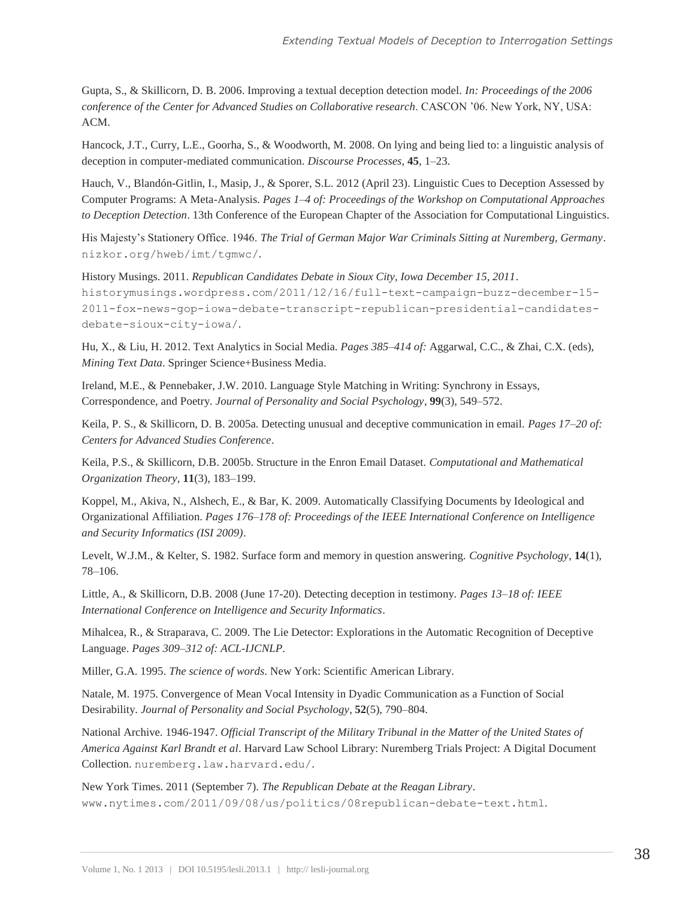Gupta, S., & Skillicorn, D. B. 2006. Improving a textual deception detection model. *In: Proceedings of the 2006 conference of the Center for Advanced Studies on Collaborative research*. CASCON '06. New York, NY, USA: ACM.

Hancock, J.T., Curry, L.E., Goorha, S., & Woodworth, M. 2008. On lying and being lied to: a linguistic analysis of deception in computer-mediated communication. *Discourse Processes*, **45**, 1–23.

Hauch, V., Blandón-Gitlin, I., Masip, J., & Sporer, S.L. 2012 (April 23). Linguistic Cues to Deception Assessed by Computer Programs: A Meta-Analysis. *Pages 1–4 of: Proceedings of the Workshop on Computational Approaches to Deception Detection*. 13th Conference of the European Chapter of the Association for Computational Linguistics.

His Majesty's Stationery Office. 1946. *The Trial of German Major War Criminals Sitting at Nuremberg, Germany*. nizkor.org/hweb/imt/tgmwc/.

History Musings. 2011. *Republican Candidates Debate in Sioux City, Iowa December 15, 2011*. historymusings.wordpress.com/2011/12/16/full-text-campaign-buzz-december-15- 2011-fox-news-gop-iowa-debate-transcript-republican-presidential-candidatesdebate-sioux-city-iowa/.

Hu, X., & Liu, H. 2012. Text Analytics in Social Media. *Pages 385–414 of:* Aggarwal, C.C., & Zhai, C.X. (eds), *Mining Text Data*. Springer Science+Business Media.

Ireland, M.E., & Pennebaker, J.W. 2010. Language Style Matching in Writing: Synchrony in Essays, Correspondence, and Poetry. *Journal of Personality and Social Psychology*, **99**(3), 549–572.

Keila, P. S., & Skillicorn, D. B. 2005a. Detecting unusual and deceptive communication in email. *Pages 17–20 of: Centers for Advanced Studies Conference*.

Keila, P.S., & Skillicorn, D.B. 2005b. Structure in the Enron Email Dataset. *Computational and Mathematical Organization Theory*, **11**(3), 183–199.

Koppel, M., Akiva, N., Alshech, E., & Bar, K. 2009. Automatically Classifying Documents by Ideological and Organizational Affiliation. *Pages 176–178 of: Proceedings of the IEEE International Conference on Intelligence and Security Informatics (ISI 2009)*.

Levelt, W.J.M., & Kelter, S. 1982. Surface form and memory in question answering. *Cognitive Psychology*, **14**(1), 78–106.

Little, A., & Skillicorn, D.B. 2008 (June 17-20). Detecting deception in testimony. *Pages 13–18 of: IEEE International Conference on Intelligence and Security Informatics*.

Mihalcea, R., & Straparava, C. 2009. The Lie Detector: Explorations in the Automatic Recognition of Deceptive Language. *Pages 309–312 of: ACL-IJCNLP*.

Miller, G.A. 1995. *The science of words*. New York: Scientific American Library.

Natale, M. 1975. Convergence of Mean Vocal Intensity in Dyadic Communication as a Function of Social Desirability. *Journal of Personality and Social Psychology*, **52**(5), 790–804.

National Archive. 1946-1947. *Official Transcript of the Military Tribunal in the Matter of the United States of America Against Karl Brandt et al*. Harvard Law School Library: Nuremberg Trials Project: A Digital Document Collection. nuremberg.law.harvard.edu/.

New York Times. 2011 (September 7). *The Republican Debate at the Reagan Library*. www.nytimes.com/2011/09/08/us/politics/08republican-debate-text.html.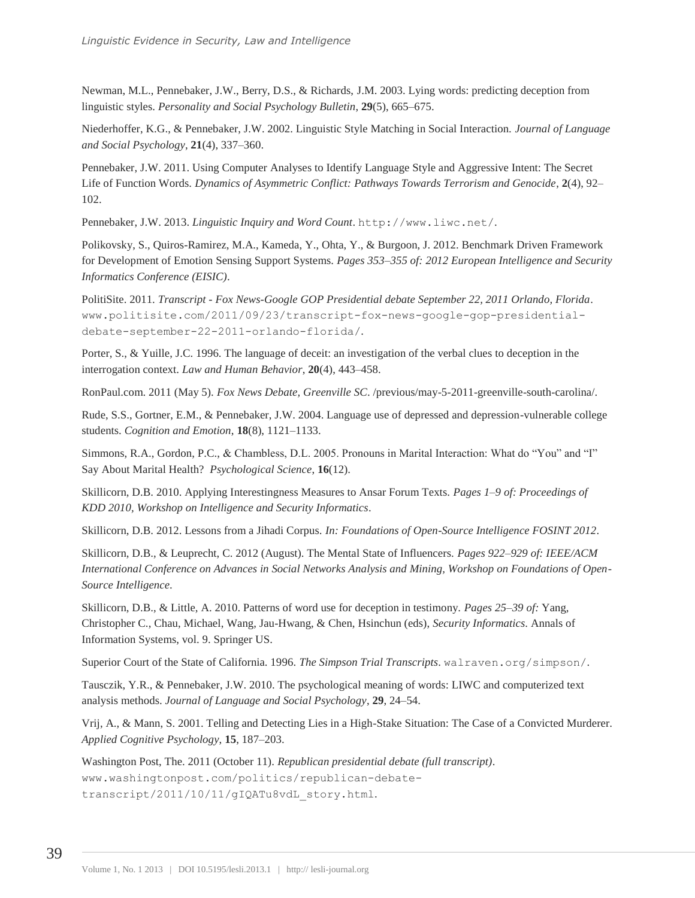Newman, M.L., Pennebaker, J.W., Berry, D.S., & Richards, J.M. 2003. Lying words: predicting deception from linguistic styles. *Personality and Social Psychology Bulletin*, **29**(5), 665–675.

Niederhoffer, K.G., & Pennebaker, J.W. 2002. Linguistic Style Matching in Social Interaction. *Journal of Language and Social Psychology*, **21**(4), 337–360.

Pennebaker, J.W. 2011. Using Computer Analyses to Identify Language Style and Aggressive Intent: The Secret Life of Function Words. *Dynamics of Asymmetric Conflict: Pathways Towards Terrorism and Genocide*, **2**(4), 92– 102.

Pennebaker, J.W. 2013. *Linguistic Inquiry and Word Count*. http://www.liwc.net/.

Polikovsky, S., Quiros-Ramirez, M.A., Kameda, Y., Ohta, Y., & Burgoon, J. 2012. Benchmark Driven Framework for Development of Emotion Sensing Support Systems. *Pages 353–355 of: 2012 European Intelligence and Security Informatics Conference (EISIC)*.

PolitiSite. 2011. *Transcript - Fox News-Google GOP Presidential debate September 22, 2011 Orlando, Florida*. www.politisite.com/2011/09/23/transcript-fox-news-google-gop-presidentialdebate-september-22-2011-orlando-florida/.

Porter, S., & Yuille, J.C. 1996. The language of deceit: an investigation of the verbal clues to deception in the interrogation context. *Law and Human Behavior*, **20**(4), 443–458.

RonPaul.com. 2011 (May 5). *Fox News Debate, Greenville SC*. /previous/may-5-2011-greenville-south-carolina/.

Rude, S.S., Gortner, E.M., & Pennebaker, J.W. 2004. Language use of depressed and depression-vulnerable college students. *Cognition and Emotion*, **18**(8), 1121–1133.

Simmons, R.A., Gordon, P.C., & Chambless, D.L. 2005. Pronouns in Marital Interaction: What do "You" and "I" Say About Marital Health? *Psychological Science*, **16**(12).

Skillicorn, D.B. 2010. Applying Interestingness Measures to Ansar Forum Texts. *Pages 1–9 of: Proceedings of KDD 2010, Workshop on Intelligence and Security Informatics*.

Skillicorn, D.B. 2012. Lessons from a Jihadi Corpus. *In: Foundations of Open-Source Intelligence FOSINT 2012*.

Skillicorn, D.B., & Leuprecht, C. 2012 (August). The Mental State of Influencers. *Pages 922–929 of: IEEE/ACM International Conference on Advances in Social Networks Analysis and Mining, Workshop on Foundations of Open-Source Intelligence*.

Skillicorn, D.B., & Little, A. 2010. Patterns of word use for deception in testimony. *Pages 25–39 of:* Yang, Christopher C., Chau, Michael, Wang, Jau-Hwang, & Chen, Hsinchun (eds), *Security Informatics*. Annals of Information Systems, vol. 9. Springer US.

Superior Court of the State of California. 1996. *The Simpson Trial Transcripts*. walraven.org/simpson/.

Tausczik, Y.R., & Pennebaker, J.W. 2010. The psychological meaning of words: LIWC and computerized text analysis methods. *Journal of Language and Social Psychology*, **29**, 24–54.

Vrij, A., & Mann, S. 2001. Telling and Detecting Lies in a High-Stake Situation: The Case of a Convicted Murderer. *Applied Cognitive Psychology*, **15**, 187–203.

Washington Post, The. 2011 (October 11). *Republican presidential debate (full transcript)*. www.washingtonpost.com/politics/republican-debatetranscript/2011/10/11/gIQATu8vdL\_story.html.